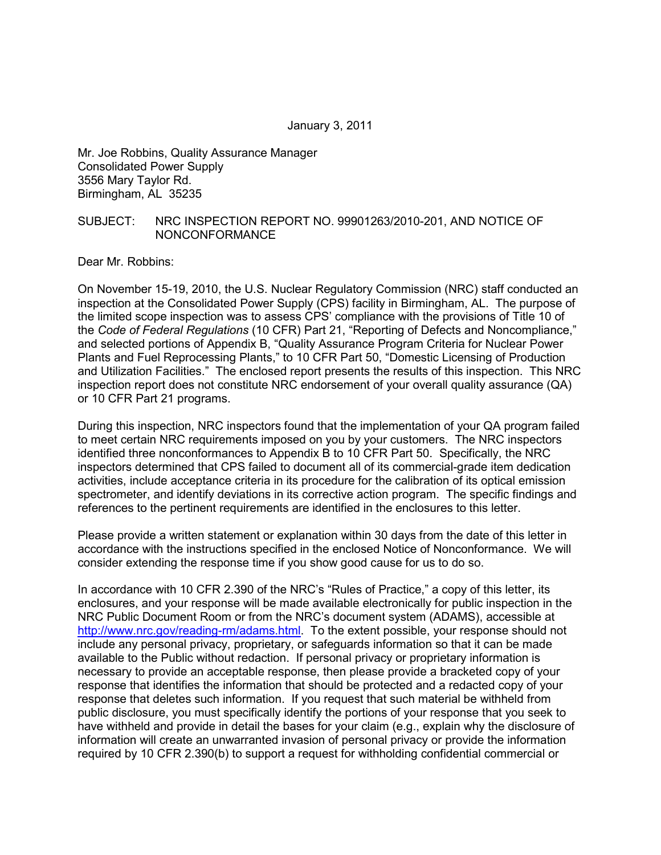January 3, 2011

Mr. Joe Robbins, Quality Assurance Manager Consolidated Power Supply 3556 Mary Taylor Rd. Birmingham, AL 35235

#### SUBJECT: NRC INSPECTION REPORT NO. 99901263/2010-201, AND NOTICE OF NONCONFORMANCE

Dear Mr. Robbins:

On November 15-19, 2010, the U.S. Nuclear Regulatory Commission (NRC) staff conducted an inspection at the Consolidated Power Supply (CPS) facility in Birmingham, AL. The purpose of the limited scope inspection was to assess CPS' compliance with the provisions of Title 10 of the *Code of Federal Regulations* (10 CFR) Part 21, "Reporting of Defects and Noncompliance," and selected portions of Appendix B, "Quality Assurance Program Criteria for Nuclear Power Plants and Fuel Reprocessing Plants," to 10 CFR Part 50, "Domestic Licensing of Production and Utilization Facilities." The enclosed report presents the results of this inspection. This NRC inspection report does not constitute NRC endorsement of your overall quality assurance (QA) or 10 CFR Part 21 programs.

During this inspection, NRC inspectors found that the implementation of your QA program failed to meet certain NRC requirements imposed on you by your customers. The NRC inspectors identified three nonconformances to Appendix B to 10 CFR Part 50. Specifically, the NRC inspectors determined that CPS failed to document all of its commercial-grade item dedication activities, include acceptance criteria in its procedure for the calibration of its optical emission spectrometer, and identify deviations in its corrective action program. The specific findings and references to the pertinent requirements are identified in the enclosures to this letter.

Please provide a written statement or explanation within 30 days from the date of this letter in accordance with the instructions specified in the enclosed Notice of Nonconformance. We will consider extending the response time if you show good cause for us to do so.

In accordance with 10 CFR 2.390 of the NRC's "Rules of Practice," a copy of this letter, its enclosures, and your response will be made available electronically for public inspection in the NRC Public Document Room or from the NRC's document system (ADAMS), accessible at http://www.nrc.gov/reading-rm/adams.html. To the extent possible, your response should not include any personal privacy, proprietary, or safeguards information so that it can be made available to the Public without redaction. If personal privacy or proprietary information is necessary to provide an acceptable response, then please provide a bracketed copy of your response that identifies the information that should be protected and a redacted copy of your response that deletes such information. If you request that such material be withheld from public disclosure, you must specifically identify the portions of your response that you seek to have withheld and provide in detail the bases for your claim (e.g., explain why the disclosure of information will create an unwarranted invasion of personal privacy or provide the information required by 10 CFR 2.390(b) to support a request for withholding confidential commercial or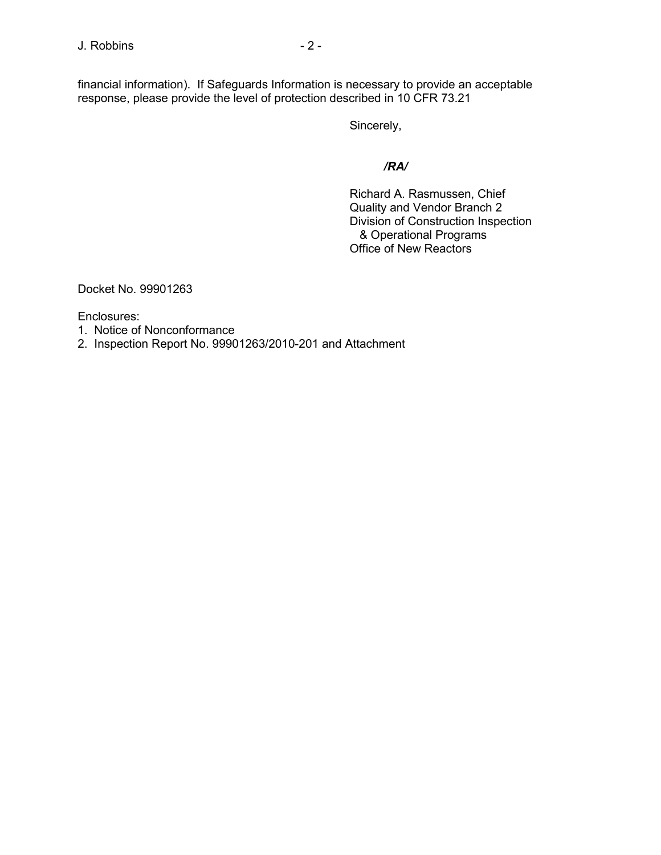financial information). If Safeguards Information is necessary to provide an acceptable response, please provide the level of protection described in 10 CFR 73.21

Sincerely,

 */RA/* 

 Richard A. Rasmussen, Chief Quality and Vendor Branch 2 Division of Construction Inspection & Operational Programs Office of New Reactors

Docket No. 99901263

Enclosures:

1. Notice of Nonconformance

2. Inspection Report No. 99901263/2010-201 and Attachment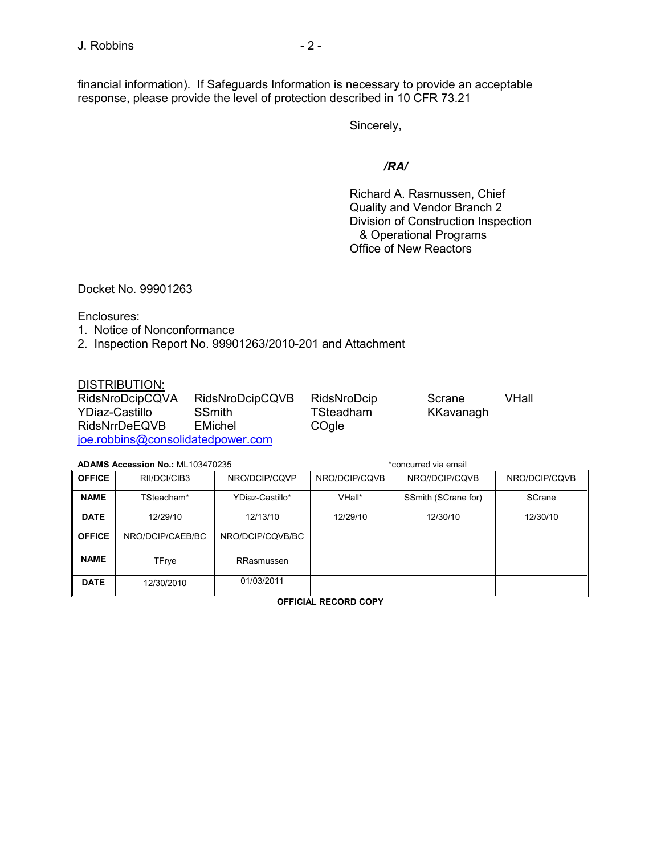financial information). If Safeguards Information is necessary to provide an acceptable response, please provide the level of protection described in 10 CFR 73.21

Sincerely,

### */RA/*

 Richard A. Rasmussen, Chief Quality and Vendor Branch 2 Division of Construction Inspection & Operational Programs Office of New Reactors

Docket No. 99901263

Enclosures:

- 1. Notice of Nonconformance
- 2. Inspection Report No. 99901263/2010-201 and Attachment

#### DISTRIBUTION:

| RidsNroDcipCQVA                   | RidsNroDcipCQVB | RidsNroDcip | Scrane    | VHall |
|-----------------------------------|-----------------|-------------|-----------|-------|
| YDiaz-Castillo                    | <b>SSmith</b>   | TSteadham   | KKavanagh |       |
| <b>RidsNrrDeEQVB</b>              | EMichel         | COgle       |           |       |
| joe.robbins@consolidatedpower.com |                 |             |           |       |

#### **ADAMS Accession No.:** ML103470235 **ADAMS Example 2018** to the state of the state of the state of the state of the state of the state of the state of the state of the state of the state of the state of the state of the s

| <b>OFFICE</b> | RII/DCI/CIB3     | NRO/DCIP/CQVP    | NRO/DCIP/CQVB | NRO//DCIP/CQVB      | NRO/DCIP/CQVB |
|---------------|------------------|------------------|---------------|---------------------|---------------|
| <b>NAME</b>   | TSteadham*       | YDiaz-Castillo*  | VHall*        | SSmith (SCrane for) | SCrane        |
| <b>DATE</b>   | 12/29/10         | 12/13/10         | 12/29/10      | 12/30/10            | 12/30/10      |
| <b>OFFICE</b> | NRO/DCIP/CAEB/BC | NRO/DCIP/CQVB/BC |               |                     |               |
| <b>NAME</b>   | TFrye            | RRasmussen       |               |                     |               |
| <b>DATE</b>   | 12/30/2010       | 01/03/2011       |               |                     |               |

**OFFICIAL RECORD COPY**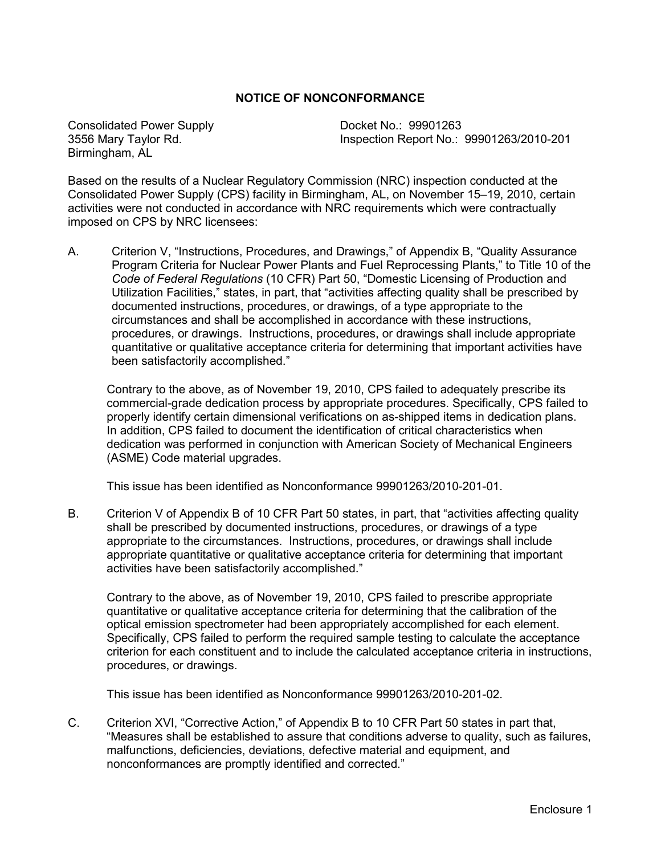#### **NOTICE OF NONCONFORMANCE**

Consolidated Power Supply Docket No.: 99901263 Birmingham, AL

3556 Mary Taylor Rd. Inspection Report No.: 99901263/2010-201

Based on the results of a Nuclear Regulatory Commission (NRC) inspection conducted at the Consolidated Power Supply (CPS) facility in Birmingham, AL, on November 15–19, 2010, certain activities were not conducted in accordance with NRC requirements which were contractually imposed on CPS by NRC licensees:

A. Criterion V, "Instructions, Procedures, and Drawings," of Appendix B, "Quality Assurance Program Criteria for Nuclear Power Plants and Fuel Reprocessing Plants," to Title 10 of the *Code of Federal Regulations* (10 CFR) Part 50, "Domestic Licensing of Production and Utilization Facilities," states, in part, that "activities affecting quality shall be prescribed by documented instructions, procedures, or drawings, of a type appropriate to the circumstances and shall be accomplished in accordance with these instructions, procedures, or drawings. Instructions, procedures, or drawings shall include appropriate quantitative or qualitative acceptance criteria for determining that important activities have been satisfactorily accomplished."

Contrary to the above, as of November 19, 2010, CPS failed to adequately prescribe its commercial-grade dedication process by appropriate procedures. Specifically, CPS failed to properly identify certain dimensional verifications on as-shipped items in dedication plans. In addition, CPS failed to document the identification of critical characteristics when dedication was performed in conjunction with American Society of Mechanical Engineers (ASME) Code material upgrades.

This issue has been identified as Nonconformance 99901263/2010-201-01.

B. Criterion V of Appendix B of 10 CFR Part 50 states, in part, that "activities affecting quality shall be prescribed by documented instructions, procedures, or drawings of a type appropriate to the circumstances. Instructions, procedures, or drawings shall include appropriate quantitative or qualitative acceptance criteria for determining that important activities have been satisfactorily accomplished."

 Contrary to the above, as of November 19, 2010, CPS failed to prescribe appropriate quantitative or qualitative acceptance criteria for determining that the calibration of the optical emission spectrometer had been appropriately accomplished for each element. Specifically, CPS failed to perform the required sample testing to calculate the acceptance criterion for each constituent and to include the calculated acceptance criteria in instructions, procedures, or drawings.

This issue has been identified as Nonconformance 99901263/2010-201-02.

C. Criterion XVI, "Corrective Action," of Appendix B to 10 CFR Part 50 states in part that, "Measures shall be established to assure that conditions adverse to quality, such as failures, malfunctions, deficiencies, deviations, defective material and equipment, and nonconformances are promptly identified and corrected."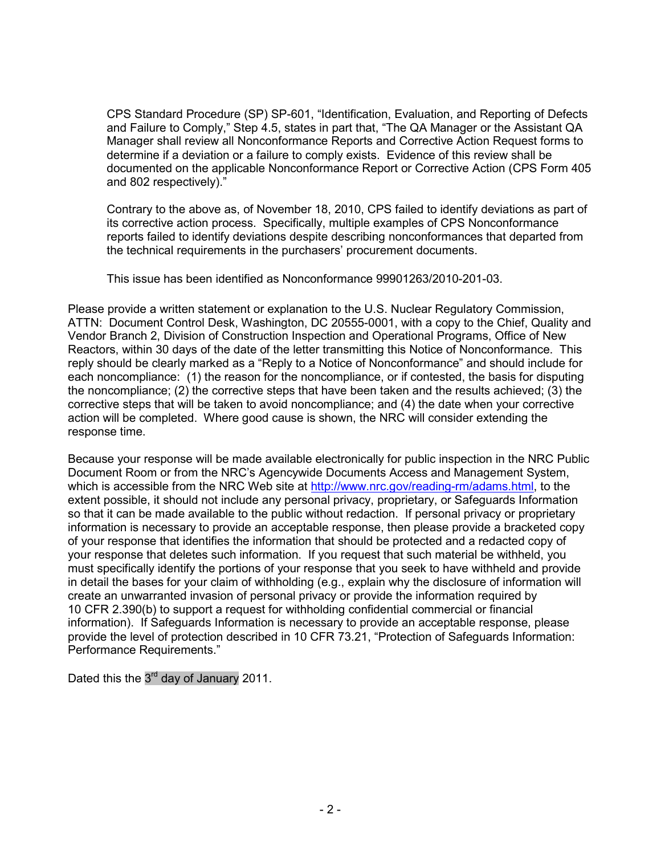CPS Standard Procedure (SP) SP-601, "Identification, Evaluation, and Reporting of Defects and Failure to Comply," Step 4.5, states in part that, "The QA Manager or the Assistant QA Manager shall review all Nonconformance Reports and Corrective Action Request forms to determine if a deviation or a failure to comply exists. Evidence of this review shall be documented on the applicable Nonconformance Report or Corrective Action (CPS Form 405 and 802 respectively)."

Contrary to the above as, of November 18, 2010, CPS failed to identify deviations as part of its corrective action process. Specifically, multiple examples of CPS Nonconformance reports failed to identify deviations despite describing nonconformances that departed from the technical requirements in the purchasers' procurement documents.

This issue has been identified as Nonconformance 99901263/2010-201-03.

Please provide a written statement or explanation to the U.S. Nuclear Regulatory Commission, ATTN: Document Control Desk, Washington, DC 20555-0001, with a copy to the Chief, Quality and Vendor Branch 2, Division of Construction Inspection and Operational Programs, Office of New Reactors, within 30 days of the date of the letter transmitting this Notice of Nonconformance. This reply should be clearly marked as a "Reply to a Notice of Nonconformance" and should include for each noncompliance: (1) the reason for the noncompliance, or if contested, the basis for disputing the noncompliance; (2) the corrective steps that have been taken and the results achieved; (3) the corrective steps that will be taken to avoid noncompliance; and (4) the date when your corrective action will be completed. Where good cause is shown, the NRC will consider extending the response time.

Because your response will be made available electronically for public inspection in the NRC Public Document Room or from the NRC's Agencywide Documents Access and Management System, which is accessible from the NRC Web site at http://www.nrc.gov/reading-rm/adams.html, to the extent possible, it should not include any personal privacy, proprietary, or Safeguards Information so that it can be made available to the public without redaction. If personal privacy or proprietary information is necessary to provide an acceptable response, then please provide a bracketed copy of your response that identifies the information that should be protected and a redacted copy of your response that deletes such information. If you request that such material be withheld, you must specifically identify the portions of your response that you seek to have withheld and provide in detail the bases for your claim of withholding (e.g., explain why the disclosure of information will create an unwarranted invasion of personal privacy or provide the information required by 10 CFR 2.390(b) to support a request for withholding confidential commercial or financial information). If Safeguards Information is necessary to provide an acceptable response, please provide the level of protection described in 10 CFR 73.21, "Protection of Safeguards Information: Performance Requirements."

Dated this the 3<sup>rd</sup> day of January 2011.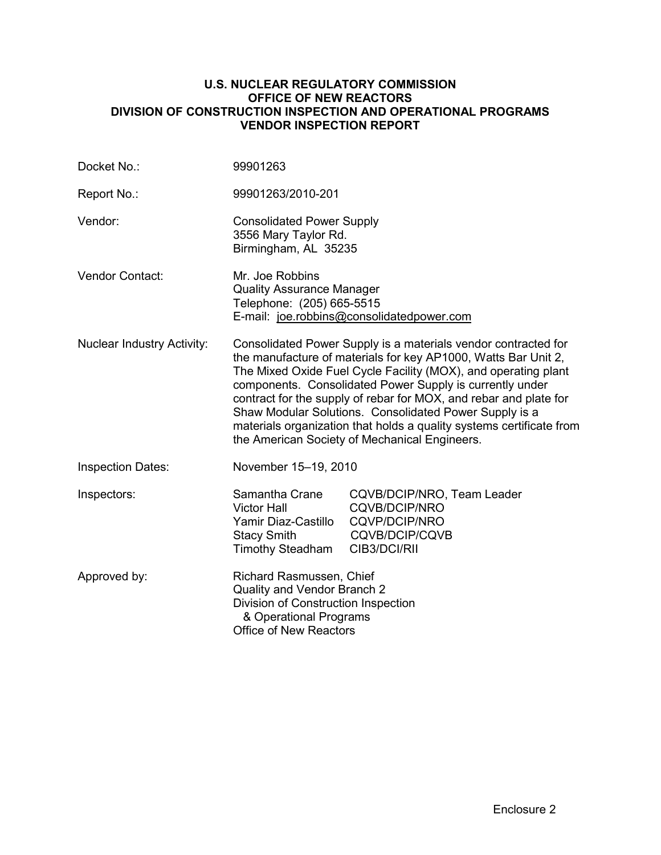#### **U.S. NUCLEAR REGULATORY COMMISSION OFFICE OF NEW REACTORS DIVISION OF CONSTRUCTION INSPECTION AND OPERATIONAL PROGRAMS VENDOR INSPECTION REPORT**

| Docket No.:                       | 99901263                                                                                                                                                                                                                                                                                                                                                                                                                                                                                                               |                                                                                                       |  |
|-----------------------------------|------------------------------------------------------------------------------------------------------------------------------------------------------------------------------------------------------------------------------------------------------------------------------------------------------------------------------------------------------------------------------------------------------------------------------------------------------------------------------------------------------------------------|-------------------------------------------------------------------------------------------------------|--|
| Report No.:                       | 99901263/2010-201                                                                                                                                                                                                                                                                                                                                                                                                                                                                                                      |                                                                                                       |  |
| Vendor:                           | <b>Consolidated Power Supply</b><br>3556 Mary Taylor Rd.<br>Birmingham, AL 35235                                                                                                                                                                                                                                                                                                                                                                                                                                       |                                                                                                       |  |
| <b>Vendor Contact:</b>            | Mr. Joe Robbins<br><b>Quality Assurance Manager</b><br>Telephone: (205) 665-5515<br>E-mail: joe.robbins@consolidatedpower.com                                                                                                                                                                                                                                                                                                                                                                                          |                                                                                                       |  |
| <b>Nuclear Industry Activity:</b> | Consolidated Power Supply is a materials vendor contracted for<br>the manufacture of materials for key AP1000, Watts Bar Unit 2,<br>The Mixed Oxide Fuel Cycle Facility (MOX), and operating plant<br>components. Consolidated Power Supply is currently under<br>contract for the supply of rebar for MOX, and rebar and plate for<br>Shaw Modular Solutions. Consolidated Power Supply is a<br>materials organization that holds a quality systems certificate from<br>the American Society of Mechanical Engineers. |                                                                                                       |  |
| <b>Inspection Dates:</b>          | November 15-19, 2010                                                                                                                                                                                                                                                                                                                                                                                                                                                                                                   |                                                                                                       |  |
| Inspectors:                       | Samantha Crane<br><b>Victor Hall</b><br>Yamir Diaz-Castillo<br><b>Stacy Smith</b><br><b>Timothy Steadham</b>                                                                                                                                                                                                                                                                                                                                                                                                           | CQVB/DCIP/NRO, Team Leader<br><b>CQVB/DCIP/NRO</b><br>CQVP/DCIP/NRO<br>CQVB/DCIP/CQVB<br>CIB3/DCI/RII |  |
| Approved by:                      | Richard Rasmussen, Chief<br>Quality and Vendor Branch 2<br>Division of Construction Inspection<br>& Operational Programs<br>Office of New Reactors                                                                                                                                                                                                                                                                                                                                                                     |                                                                                                       |  |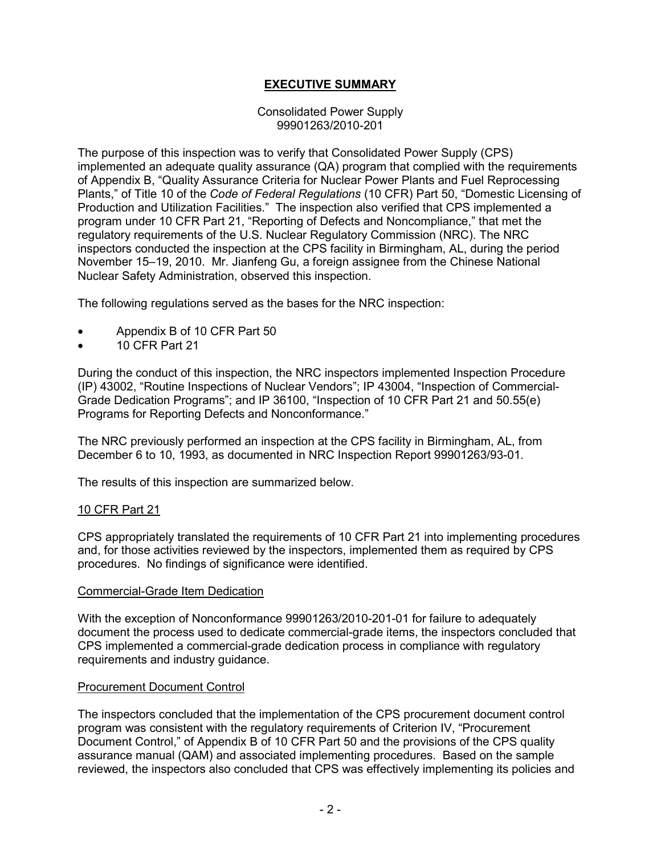# **EXECUTIVE SUMMARY**

#### Consolidated Power Supply 99901263/2010-201

The purpose of this inspection was to verify that Consolidated Power Supply (CPS) implemented an adequate quality assurance (QA) program that complied with the requirements of Appendix B, "Quality Assurance Criteria for Nuclear Power Plants and Fuel Reprocessing Plants," of Title 10 of the *Code of Federal Regulations* (10 CFR) Part 50, "Domestic Licensing of Production and Utilization Facilities." The inspection also verified that CPS implemented a program under 10 CFR Part 21, "Reporting of Defects and Noncompliance," that met the regulatory requirements of the U.S. Nuclear Regulatory Commission (NRC). The NRC inspectors conducted the inspection at the CPS facility in Birmingham, AL, during the period November 15–19, 2010. Mr. Jianfeng Gu, a foreign assignee from the Chinese National Nuclear Safety Administration, observed this inspection.

The following regulations served as the bases for the NRC inspection:

- Appendix B of 10 CFR Part 50
- 10 CFR Part 21

During the conduct of this inspection, the NRC inspectors implemented Inspection Procedure (IP) 43002, "Routine Inspections of Nuclear Vendors"; IP 43004, "Inspection of Commercial-Grade Dedication Programs"; and IP 36100, "Inspection of 10 CFR Part 21 and 50.55(e) Programs for Reporting Defects and Nonconformance."

The NRC previously performed an inspection at the CPS facility in Birmingham, AL, from December 6 to 10, 1993, as documented in NRC Inspection Report 99901263/93-01.

The results of this inspection are summarized below.

#### 10 CFR Part 21

CPS appropriately translated the requirements of 10 CFR Part 21 into implementing procedures and, for those activities reviewed by the inspectors, implemented them as required by CPS procedures. No findings of significance were identified.

#### Commercial-Grade Item Dedication

With the exception of Nonconformance 99901263/2010-201-01 for failure to adequately document the process used to dedicate commercial-grade items, the inspectors concluded that CPS implemented a commercial-grade dedication process in compliance with regulatory requirements and industry guidance.

#### Procurement Document Control

The inspectors concluded that the implementation of the CPS procurement document control program was consistent with the regulatory requirements of Criterion IV, "Procurement Document Control," of Appendix B of 10 CFR Part 50 and the provisions of the CPS quality assurance manual (QAM) and associated implementing procedures. Based on the sample reviewed, the inspectors also concluded that CPS was effectively implementing its policies and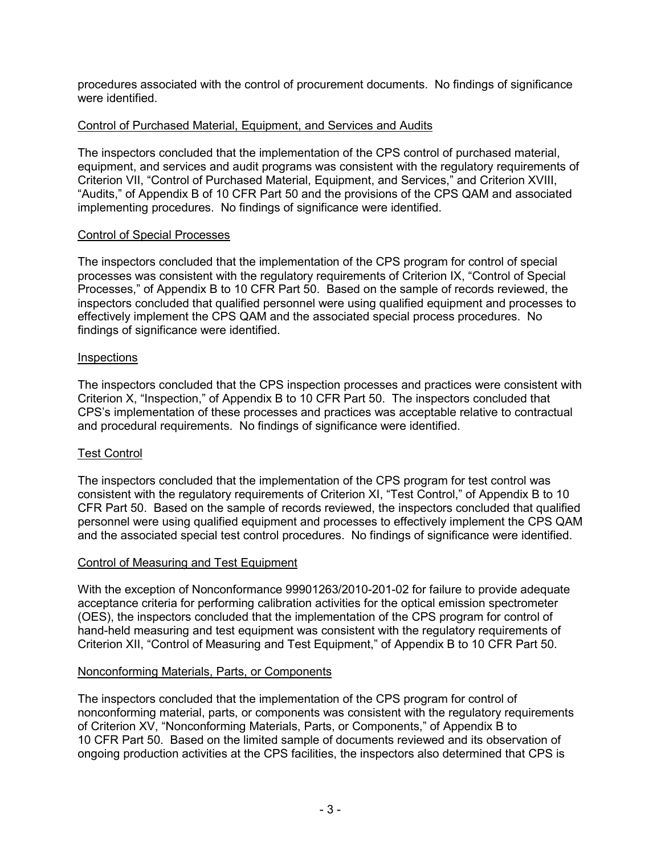procedures associated with the control of procurement documents. No findings of significance were identified.

# Control of Purchased Material, Equipment, and Services and Audits

The inspectors concluded that the implementation of the CPS control of purchased material, equipment, and services and audit programs was consistent with the regulatory requirements of Criterion VII, "Control of Purchased Material, Equipment, and Services," and Criterion XVIII, "Audits," of Appendix B of 10 CFR Part 50 and the provisions of the CPS QAM and associated implementing procedures. No findings of significance were identified.

# Control of Special Processes

The inspectors concluded that the implementation of the CPS program for control of special processes was consistent with the regulatory requirements of Criterion IX, "Control of Special Processes," of Appendix B to 10 CFR Part 50. Based on the sample of records reviewed, the inspectors concluded that qualified personnel were using qualified equipment and processes to effectively implement the CPS QAM and the associated special process procedures. No findings of significance were identified.

### **Inspections**

The inspectors concluded that the CPS inspection processes and practices were consistent with Criterion X, "Inspection," of Appendix B to 10 CFR Part 50. The inspectors concluded that CPS's implementation of these processes and practices was acceptable relative to contractual and procedural requirements. No findings of significance were identified.

# Test Control

The inspectors concluded that the implementation of the CPS program for test control was consistent with the regulatory requirements of Criterion XI, "Test Control," of Appendix B to 10 CFR Part 50. Based on the sample of records reviewed, the inspectors concluded that qualified personnel were using qualified equipment and processes to effectively implement the CPS QAM and the associated special test control procedures. No findings of significance were identified.

### Control of Measuring and Test Equipment

With the exception of Nonconformance 99901263/2010-201-02 for failure to provide adequate acceptance criteria for performing calibration activities for the optical emission spectrometer (OES), the inspectors concluded that the implementation of the CPS program for control of hand-held measuring and test equipment was consistent with the regulatory requirements of Criterion XII, "Control of Measuring and Test Equipment," of Appendix B to 10 CFR Part 50.

### Nonconforming Materials, Parts, or Components

The inspectors concluded that the implementation of the CPS program for control of nonconforming material, parts, or components was consistent with the regulatory requirements of Criterion XV, "Nonconforming Materials, Parts, or Components," of Appendix B to 10 CFR Part 50. Based on the limited sample of documents reviewed and its observation of ongoing production activities at the CPS facilities, the inspectors also determined that CPS is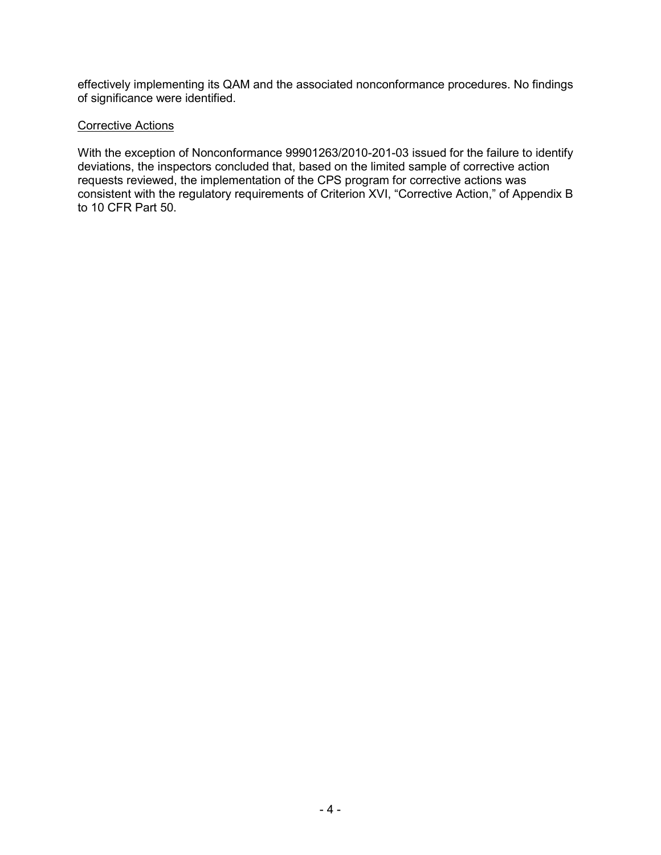effectively implementing its QAM and the associated nonconformance procedures. No findings of significance were identified.

# **Corrective Actions**

With the exception of Nonconformance 99901263/2010-201-03 issued for the failure to identify deviations, the inspectors concluded that, based on the limited sample of corrective action requests reviewed, the implementation of the CPS program for corrective actions was consistent with the regulatory requirements of Criterion XVI, "Corrective Action," of Appendix B to 10 CFR Part 50.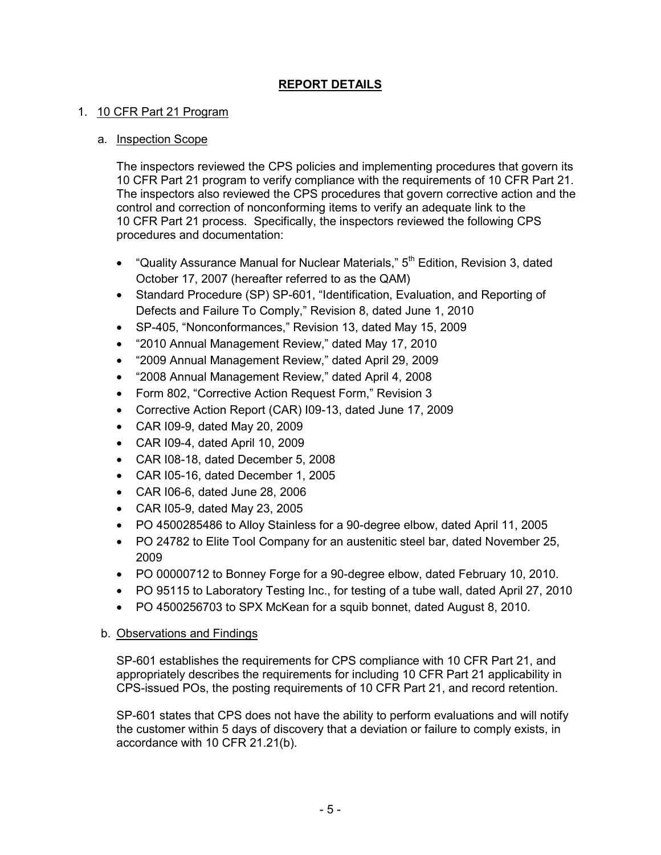# **REPORT DETAILS**

# 1. 10 CFR Part 21 Program

### a. Inspection Scope

The inspectors reviewed the CPS policies and implementing procedures that govern its 10 CFR Part 21 program to verify compliance with the requirements of 10 CFR Part 21. The inspectors also reviewed the CPS procedures that govern corrective action and the control and correction of nonconforming items to verify an adequate link to the 10 CFR Part 21 process. Specifically, the inspectors reviewed the following CPS procedures and documentation:

- "Quality Assurance Manual for Nuclear Materials," 5<sup>th</sup> Edition, Revision 3, dated October 17, 2007 (hereafter referred to as the QAM)
- Standard Procedure (SP) SP-601, "Identification, Evaluation, and Reporting of Defects and Failure To Comply," Revision 8, dated June 1, 2010
- SP-405, "Nonconformances," Revision 13, dated May 15, 2009
- "2010 Annual Management Review," dated May 17, 2010
- "2009 Annual Management Review," dated April 29, 2009
- "2008 Annual Management Review," dated April 4, 2008
- Form 802, "Corrective Action Request Form," Revision 3
- Corrective Action Report (CAR) I09-13, dated June 17, 2009
- CAR I09-9, dated May 20, 2009
- CAR I09-4, dated April 10, 2009
- CAR I08-18, dated December 5, 2008
- CAR I05-16, dated December 1, 2005
- CAR I06-6, dated June 28, 2006
- CAR I05-9, dated May 23, 2005
- PO 4500285486 to Alloy Stainless for a 90-degree elbow, dated April 11, 2005
- PO 24782 to Elite Tool Company for an austenitic steel bar, dated November 25, 2009
- PO 00000712 to Bonney Forge for a 90-degree elbow, dated February 10, 2010.
- PO 95115 to Laboratory Testing Inc., for testing of a tube wall, dated April 27, 2010
- PO 4500256703 to SPX McKean for a squib bonnet, dated August 8, 2010.

# b. Observations and Findings

SP-601 establishes the requirements for CPS compliance with 10 CFR Part 21, and appropriately describes the requirements for including 10 CFR Part 21 applicability in CPS-issued POs, the posting requirements of 10 CFR Part 21, and record retention.

SP-601 states that CPS does not have the ability to perform evaluations and will notify the customer within 5 days of discovery that a deviation or failure to comply exists, in accordance with 10 CFR 21.21(b).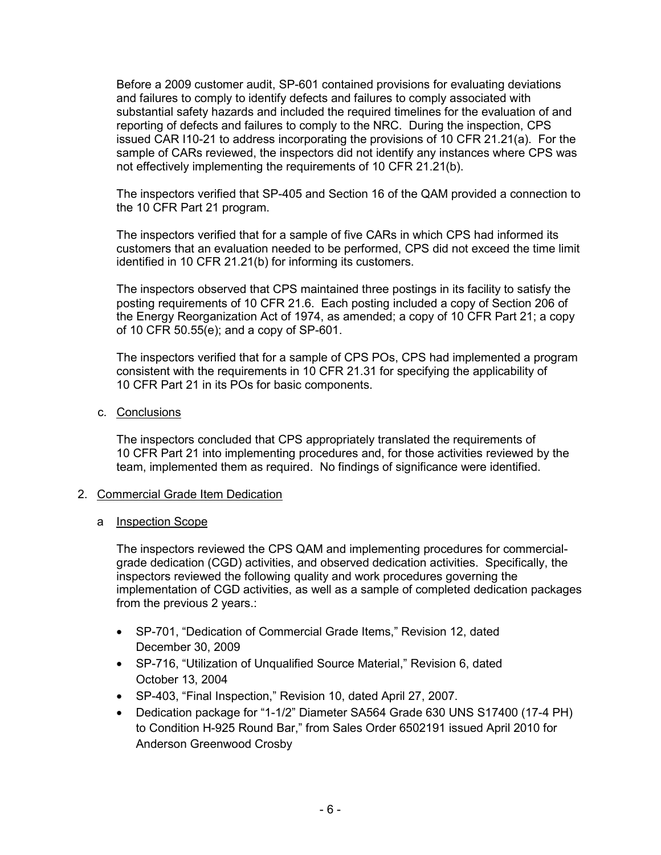Before a 2009 customer audit, SP-601 contained provisions for evaluating deviations and failures to comply to identify defects and failures to comply associated with substantial safety hazards and included the required timelines for the evaluation of and reporting of defects and failures to comply to the NRC. During the inspection, CPS issued CAR I10-21 to address incorporating the provisions of 10 CFR 21.21(a). For the sample of CARs reviewed, the inspectors did not identify any instances where CPS was not effectively implementing the requirements of 10 CFR 21.21(b).

The inspectors verified that SP-405 and Section 16 of the QAM provided a connection to the 10 CFR Part 21 program.

The inspectors verified that for a sample of five CARs in which CPS had informed its customers that an evaluation needed to be performed, CPS did not exceed the time limit identified in 10 CFR 21.21(b) for informing its customers.

The inspectors observed that CPS maintained three postings in its facility to satisfy the posting requirements of 10 CFR 21.6. Each posting included a copy of Section 206 of the Energy Reorganization Act of 1974, as amended; a copy of 10 CFR Part 21; a copy of 10 CFR 50.55(e); and a copy of SP-601.

The inspectors verified that for a sample of CPS POs, CPS had implemented a program consistent with the requirements in 10 CFR 21.31 for specifying the applicability of 10 CFR Part 21 in its POs for basic components.

c. Conclusions

The inspectors concluded that CPS appropriately translated the requirements of 10 CFR Part 21 into implementing procedures and, for those activities reviewed by the team, implemented them as required. No findings of significance were identified.

- 2. Commercial Grade Item Dedication
	- a **Inspection Scope**

The inspectors reviewed the CPS QAM and implementing procedures for commercialgrade dedication (CGD) activities, and observed dedication activities. Specifically, the inspectors reviewed the following quality and work procedures governing the implementation of CGD activities, as well as a sample of completed dedication packages from the previous 2 years.:

- SP-701, "Dedication of Commercial Grade Items," Revision 12, dated December 30, 2009
- SP-716, "Utilization of Unqualified Source Material," Revision 6, dated October 13, 2004
- SP-403, "Final Inspection," Revision 10, dated April 27, 2007.
- Dedication package for "1-1/2" Diameter SA564 Grade 630 UNS S17400 (17-4 PH) to Condition H-925 Round Bar," from Sales Order 6502191 issued April 2010 for Anderson Greenwood Crosby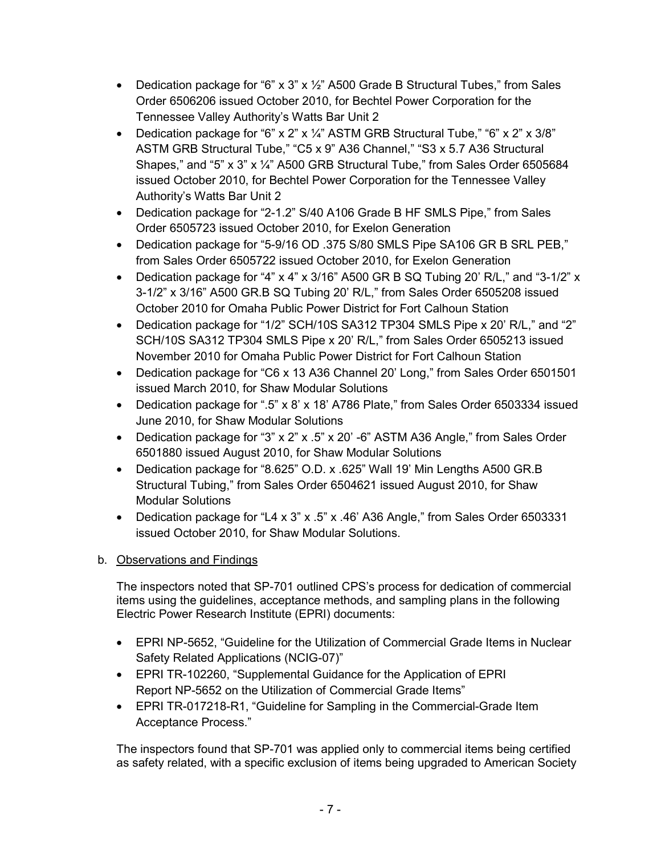- Dedication package for "6"  $\times$  3"  $\times$  1/<sub>2</sub>" A500 Grade B Structural Tubes," from Sales Order 6506206 issued October 2010, for Bechtel Power Corporation for the Tennessee Valley Authority's Watts Bar Unit 2
- Dedication package for "6" x 2" x  $\frac{1}{4}$ " ASTM GRB Structural Tube," "6" x 2" x 3/8" ASTM GRB Structural Tube," "C5 x 9" A36 Channel," "S3 x 5.7 A36 Structural Shapes," and "5" x 3" x ¼" A500 GRB Structural Tube," from Sales Order 6505684 issued October 2010, for Bechtel Power Corporation for the Tennessee Valley Authority's Watts Bar Unit 2
- Dedication package for "2-1.2" S/40 A106 Grade B HF SMLS Pipe," from Sales Order 6505723 issued October 2010, for Exelon Generation
- Dedication package for "5-9/16 OD .375 S/80 SMLS Pipe SA106 GR B SRL PEB," from Sales Order 6505722 issued October 2010, for Exelon Generation
- Dedication package for "4"  $\times$  4"  $\times$  3/16" A500 GR B SQ Tubing 20' R/L," and "3-1/2"  $\times$ 3-1/2" x 3/16" A500 GR.B SQ Tubing 20' R/L," from Sales Order 6505208 issued October 2010 for Omaha Public Power District for Fort Calhoun Station
- Dedication package for "1/2" SCH/10S SA312 TP304 SMLS Pipe x 20' R/L," and "2" SCH/10S SA312 TP304 SMLS Pipe x 20' R/L," from Sales Order 6505213 issued November 2010 for Omaha Public Power District for Fort Calhoun Station
- Dedication package for "C6 x 13 A36 Channel 20' Long," from Sales Order 6501501 issued March 2010, for Shaw Modular Solutions
- Dedication package for ".5" x 8' x 18' A786 Plate," from Sales Order 6503334 issued June 2010, for Shaw Modular Solutions
- Dedication package for "3" x 2" x .5" x 20' -6" ASTM A36 Angle," from Sales Order 6501880 issued August 2010, for Shaw Modular Solutions
- Dedication package for "8.625" O.D. x .625" Wall 19' Min Lengths A500 GR.B Structural Tubing," from Sales Order 6504621 issued August 2010, for Shaw Modular Solutions
- Dedication package for "L4 x 3" x .5" x .46' A36 Angle," from Sales Order 6503331 issued October 2010, for Shaw Modular Solutions.

The inspectors noted that SP-701 outlined CPS's process for dedication of commercial items using the guidelines, acceptance methods, and sampling plans in the following Electric Power Research Institute (EPRI) documents:

- EPRI NP-5652, "Guideline for the Utilization of Commercial Grade Items in Nuclear Safety Related Applications (NCIG-07)"
- EPRI TR-102260, "Supplemental Guidance for the Application of EPRI Report NP-5652 on the Utilization of Commercial Grade Items"
- EPRI TR-017218-R1, "Guideline for Sampling in the Commercial-Grade Item Acceptance Process."

The inspectors found that SP-701 was applied only to commercial items being certified as safety related, with a specific exclusion of items being upgraded to American Society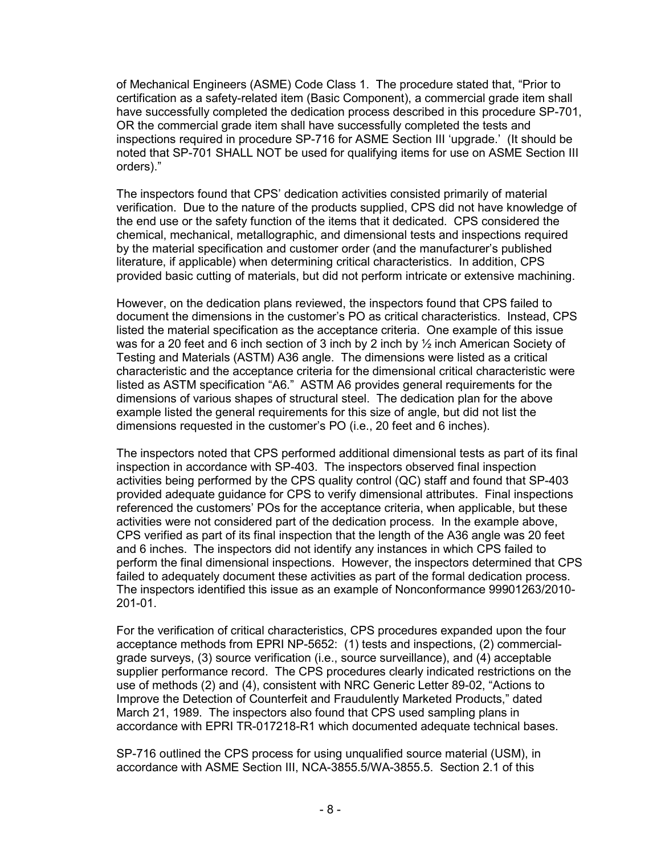of Mechanical Engineers (ASME) Code Class 1. The procedure stated that, "Prior to certification as a safety-related item (Basic Component), a commercial grade item shall have successfully completed the dedication process described in this procedure SP-701, OR the commercial grade item shall have successfully completed the tests and inspections required in procedure SP-716 for ASME Section III 'upgrade.' (It should be noted that SP-701 SHALL NOT be used for qualifying items for use on ASME Section III orders)."

The inspectors found that CPS' dedication activities consisted primarily of material verification. Due to the nature of the products supplied, CPS did not have knowledge of the end use or the safety function of the items that it dedicated. CPS considered the chemical, mechanical, metallographic, and dimensional tests and inspections required by the material specification and customer order (and the manufacturer's published literature, if applicable) when determining critical characteristics. In addition, CPS provided basic cutting of materials, but did not perform intricate or extensive machining.

However, on the dedication plans reviewed, the inspectors found that CPS failed to document the dimensions in the customer's PO as critical characteristics. Instead, CPS listed the material specification as the acceptance criteria. One example of this issue was for a 20 feet and 6 inch section of 3 inch by 2 inch by ½ inch American Society of Testing and Materials (ASTM) A36 angle. The dimensions were listed as a critical characteristic and the acceptance criteria for the dimensional critical characteristic were listed as ASTM specification "A6." ASTM A6 provides general requirements for the dimensions of various shapes of structural steel. The dedication plan for the above example listed the general requirements for this size of angle, but did not list the dimensions requested in the customer's PO (i.e., 20 feet and 6 inches).

The inspectors noted that CPS performed additional dimensional tests as part of its final inspection in accordance with SP-403. The inspectors observed final inspection activities being performed by the CPS quality control (QC) staff and found that SP-403 provided adequate guidance for CPS to verify dimensional attributes. Final inspections referenced the customers' POs for the acceptance criteria, when applicable, but these activities were not considered part of the dedication process. In the example above, CPS verified as part of its final inspection that the length of the A36 angle was 20 feet and 6 inches. The inspectors did not identify any instances in which CPS failed to perform the final dimensional inspections. However, the inspectors determined that CPS failed to adequately document these activities as part of the formal dedication process. The inspectors identified this issue as an example of Nonconformance 99901263/2010- 201-01.

For the verification of critical characteristics, CPS procedures expanded upon the four acceptance methods from EPRI NP-5652: (1) tests and inspections, (2) commercialgrade surveys, (3) source verification (i.e., source surveillance), and (4) acceptable supplier performance record. The CPS procedures clearly indicated restrictions on the use of methods (2) and (4), consistent with NRC Generic Letter 89-02, "Actions to Improve the Detection of Counterfeit and Fraudulently Marketed Products," dated March 21, 1989. The inspectors also found that CPS used sampling plans in accordance with EPRI TR-017218-R1 which documented adequate technical bases.

SP-716 outlined the CPS process for using unqualified source material (USM), in accordance with ASME Section III, NCA-3855.5/WA-3855.5. Section 2.1 of this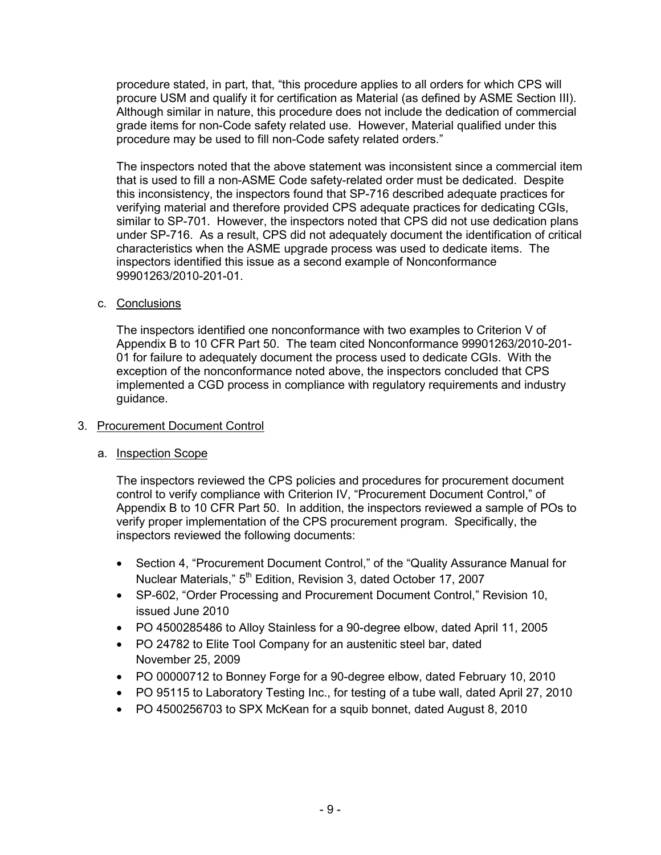procedure stated, in part, that, "this procedure applies to all orders for which CPS will procure USM and qualify it for certification as Material (as defined by ASME Section III). Although similar in nature, this procedure does not include the dedication of commercial grade items for non-Code safety related use. However, Material qualified under this procedure may be used to fill non-Code safety related orders."

The inspectors noted that the above statement was inconsistent since a commercial item that is used to fill a non-ASME Code safety-related order must be dedicated. Despite this inconsistency, the inspectors found that SP-716 described adequate practices for verifying material and therefore provided CPS adequate practices for dedicating CGIs, similar to SP-701. However, the inspectors noted that CPS did not use dedication plans under SP-716. As a result, CPS did not adequately document the identification of critical characteristics when the ASME upgrade process was used to dedicate items. The inspectors identified this issue as a second example of Nonconformance 99901263/2010-201-01.

c. Conclusions

The inspectors identified one nonconformance with two examples to Criterion V of Appendix B to 10 CFR Part 50. The team cited Nonconformance 99901263/2010-201- 01 for failure to adequately document the process used to dedicate CGIs. With the exception of the nonconformance noted above, the inspectors concluded that CPS implemented a CGD process in compliance with regulatory requirements and industry guidance.

### 3. Procurement Document Control

### a. Inspection Scope

The inspectors reviewed the CPS policies and procedures for procurement document control to verify compliance with Criterion IV, "Procurement Document Control," of Appendix B to 10 CFR Part 50. In addition, the inspectors reviewed a sample of POs to verify proper implementation of the CPS procurement program. Specifically, the inspectors reviewed the following documents:

- Section 4, "Procurement Document Control," of the "Quality Assurance Manual for Nuclear Materials,"  $5<sup>th</sup>$  Edition, Revision 3, dated October 17, 2007
- SP-602, "Order Processing and Procurement Document Control," Revision 10, issued June 2010
- PO 4500285486 to Alloy Stainless for a 90-degree elbow, dated April 11, 2005
- PO 24782 to Elite Tool Company for an austenitic steel bar, dated November 25, 2009
- PO 00000712 to Bonney Forge for a 90-degree elbow, dated February 10, 2010
- PO 95115 to Laboratory Testing Inc., for testing of a tube wall, dated April 27, 2010
- PO 4500256703 to SPX McKean for a squib bonnet, dated August 8, 2010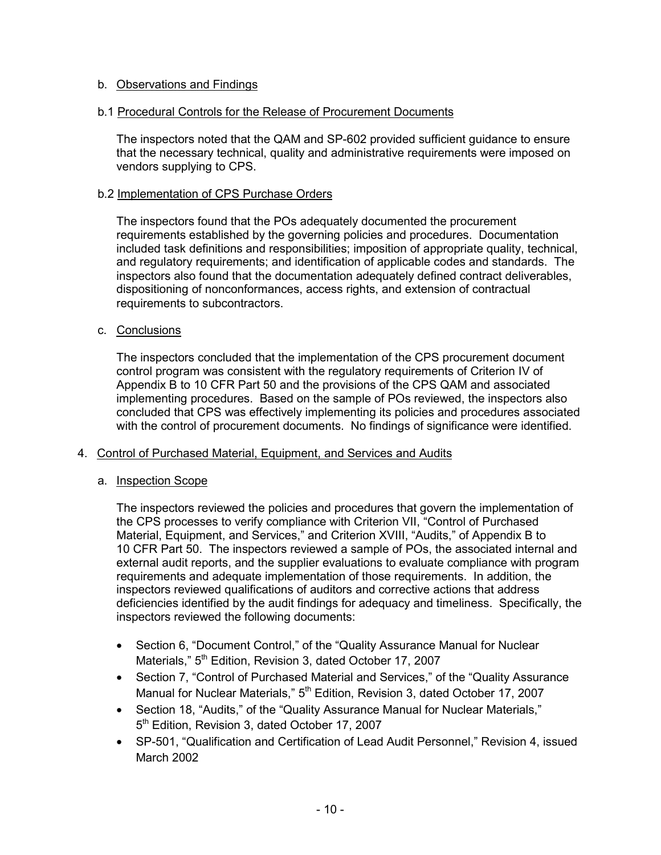### b.1 Procedural Controls for the Release of Procurement Documents

The inspectors noted that the QAM and SP-602 provided sufficient guidance to ensure that the necessary technical, quality and administrative requirements were imposed on vendors supplying to CPS.

### b.2 Implementation of CPS Purchase Orders

The inspectors found that the POs adequately documented the procurement requirements established by the governing policies and procedures. Documentation included task definitions and responsibilities; imposition of appropriate quality, technical, and regulatory requirements; and identification of applicable codes and standards. The inspectors also found that the documentation adequately defined contract deliverables, dispositioning of nonconformances, access rights, and extension of contractual requirements to subcontractors.

### c. Conclusions

The inspectors concluded that the implementation of the CPS procurement document control program was consistent with the regulatory requirements of Criterion IV of Appendix B to 10 CFR Part 50 and the provisions of the CPS QAM and associated implementing procedures. Based on the sample of POs reviewed, the inspectors also concluded that CPS was effectively implementing its policies and procedures associated with the control of procurement documents. No findings of significance were identified.

### 4. Control of Purchased Material, Equipment, and Services and Audits

### a. Inspection Scope

The inspectors reviewed the policies and procedures that govern the implementation of the CPS processes to verify compliance with Criterion VII, "Control of Purchased Material, Equipment, and Services," and Criterion XVIII, "Audits," of Appendix B to 10 CFR Part 50. The inspectors reviewed a sample of POs, the associated internal and external audit reports, and the supplier evaluations to evaluate compliance with program requirements and adequate implementation of those requirements. In addition, the inspectors reviewed qualifications of auditors and corrective actions that address deficiencies identified by the audit findings for adequacy and timeliness. Specifically, the inspectors reviewed the following documents:

- Section 6, "Document Control," of the "Quality Assurance Manual for Nuclear Materials,"  $5<sup>th</sup>$  Edition, Revision 3, dated October 17, 2007
- Section 7, "Control of Purchased Material and Services," of the "Quality Assurance Manual for Nuclear Materials," 5<sup>th</sup> Edition, Revision 3, dated October 17, 2007
- Section 18, "Audits," of the "Quality Assurance Manual for Nuclear Materials," 5<sup>th</sup> Edition, Revision 3, dated October 17, 2007
- SP-501, "Qualification and Certification of Lead Audit Personnel," Revision 4, issued March 2002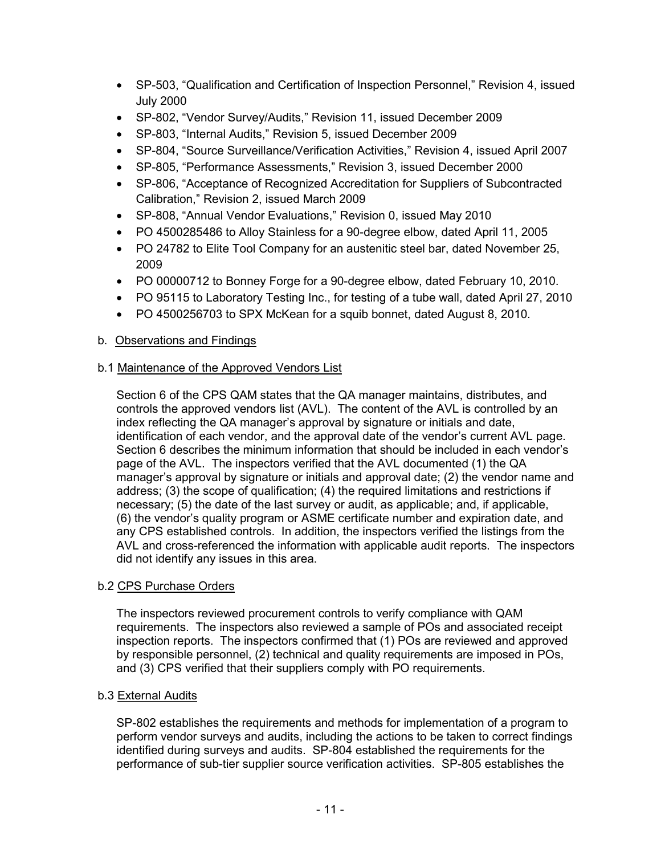- SP-503, "Qualification and Certification of Inspection Personnel," Revision 4, issued July 2000
- SP-802, "Vendor Survey/Audits," Revision 11, issued December 2009
- SP-803, "Internal Audits," Revision 5, issued December 2009
- SP-804, "Source Surveillance/Verification Activities," Revision 4, issued April 2007
- SP-805, "Performance Assessments," Revision 3, issued December 2000
- SP-806, "Acceptance of Recognized Accreditation for Suppliers of Subcontracted Calibration," Revision 2, issued March 2009
- SP-808, "Annual Vendor Evaluations," Revision 0, issued May 2010
- PO 4500285486 to Alloy Stainless for a 90-degree elbow, dated April 11, 2005
- PO 24782 to Elite Tool Company for an austenitic steel bar, dated November 25, 2009
- PO 00000712 to Bonney Forge for a 90-degree elbow, dated February 10, 2010.
- PO 95115 to Laboratory Testing Inc., for testing of a tube wall, dated April 27, 2010
- PO 4500256703 to SPX McKean for a squib bonnet, dated August 8, 2010.

# b.1 Maintenance of the Approved Vendors List

Section 6 of the CPS QAM states that the QA manager maintains, distributes, and controls the approved vendors list (AVL). The content of the AVL is controlled by an index reflecting the QA manager's approval by signature or initials and date, identification of each vendor, and the approval date of the vendor's current AVL page. Section 6 describes the minimum information that should be included in each vendor's page of the AVL. The inspectors verified that the AVL documented (1) the QA manager's approval by signature or initials and approval date; (2) the vendor name and address; (3) the scope of qualification; (4) the required limitations and restrictions if necessary; (5) the date of the last survey or audit, as applicable; and, if applicable, (6) the vendor's quality program or ASME certificate number and expiration date, and any CPS established controls. In addition, the inspectors verified the listings from the AVL and cross-referenced the information with applicable audit reports. The inspectors did not identify any issues in this area.

### b.2 CPS Purchase Orders

The inspectors reviewed procurement controls to verify compliance with QAM requirements. The inspectors also reviewed a sample of POs and associated receipt inspection reports. The inspectors confirmed that (1) POs are reviewed and approved by responsible personnel, (2) technical and quality requirements are imposed in POs, and (3) CPS verified that their suppliers comply with PO requirements.

### b.3 External Audits

SP-802 establishes the requirements and methods for implementation of a program to perform vendor surveys and audits, including the actions to be taken to correct findings identified during surveys and audits. SP-804 established the requirements for the performance of sub-tier supplier source verification activities. SP-805 establishes the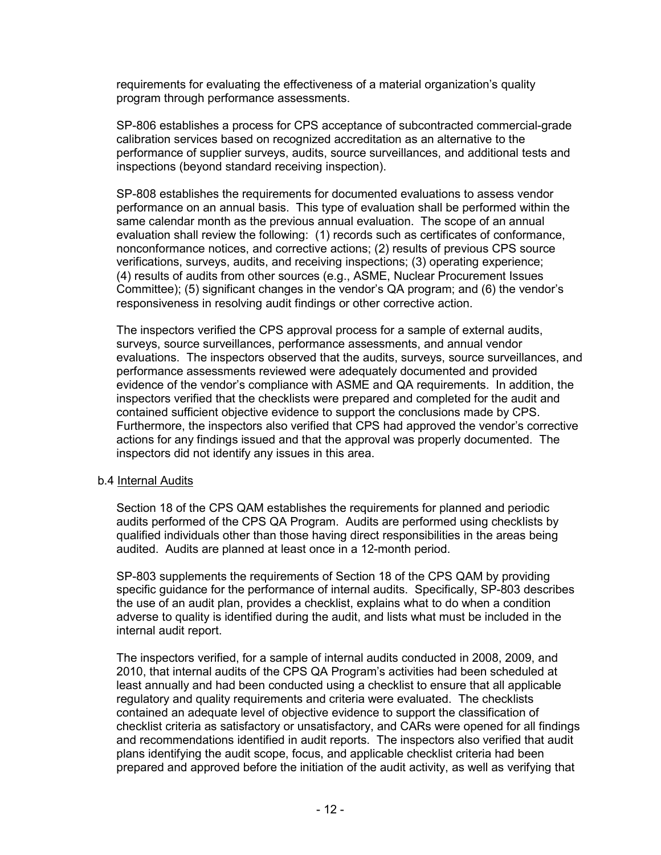requirements for evaluating the effectiveness of a material organization's quality program through performance assessments.

SP-806 establishes a process for CPS acceptance of subcontracted commercial-grade calibration services based on recognized accreditation as an alternative to the performance of supplier surveys, audits, source surveillances, and additional tests and inspections (beyond standard receiving inspection).

SP-808 establishes the requirements for documented evaluations to assess vendor performance on an annual basis. This type of evaluation shall be performed within the same calendar month as the previous annual evaluation. The scope of an annual evaluation shall review the following: (1) records such as certificates of conformance, nonconformance notices, and corrective actions; (2) results of previous CPS source verifications, surveys, audits, and receiving inspections; (3) operating experience; (4) results of audits from other sources (e.g., ASME, Nuclear Procurement Issues Committee); (5) significant changes in the vendor's QA program; and (6) the vendor's responsiveness in resolving audit findings or other corrective action.

The inspectors verified the CPS approval process for a sample of external audits, surveys, source surveillances, performance assessments, and annual vendor evaluations. The inspectors observed that the audits, surveys, source surveillances, and performance assessments reviewed were adequately documented and provided evidence of the vendor's compliance with ASME and QA requirements. In addition, the inspectors verified that the checklists were prepared and completed for the audit and contained sufficient objective evidence to support the conclusions made by CPS. Furthermore, the inspectors also verified that CPS had approved the vendor's corrective actions for any findings issued and that the approval was properly documented. The inspectors did not identify any issues in this area.

### b.4 Internal Audits

Section 18 of the CPS QAM establishes the requirements for planned and periodic audits performed of the CPS QA Program. Audits are performed using checklists by qualified individuals other than those having direct responsibilities in the areas being audited. Audits are planned at least once in a 12-month period.

SP-803 supplements the requirements of Section 18 of the CPS QAM by providing specific guidance for the performance of internal audits. Specifically, SP-803 describes the use of an audit plan, provides a checklist, explains what to do when a condition adverse to quality is identified during the audit, and lists what must be included in the internal audit report.

The inspectors verified, for a sample of internal audits conducted in 2008, 2009, and 2010, that internal audits of the CPS QA Program's activities had been scheduled at least annually and had been conducted using a checklist to ensure that all applicable regulatory and quality requirements and criteria were evaluated. The checklists contained an adequate level of objective evidence to support the classification of checklist criteria as satisfactory or unsatisfactory, and CARs were opened for all findings and recommendations identified in audit reports. The inspectors also verified that audit plans identifying the audit scope, focus, and applicable checklist criteria had been prepared and approved before the initiation of the audit activity, as well as verifying that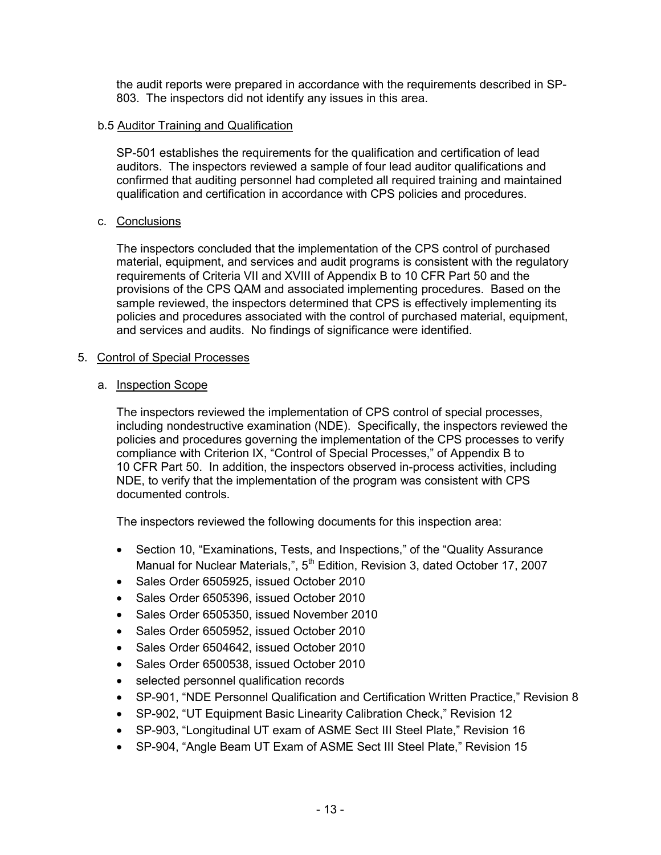the audit reports were prepared in accordance with the requirements described in SP-803. The inspectors did not identify any issues in this area.

#### b.5 Auditor Training and Qualification

SP-501 establishes the requirements for the qualification and certification of lead auditors. The inspectors reviewed a sample of four lead auditor qualifications and confirmed that auditing personnel had completed all required training and maintained qualification and certification in accordance with CPS policies and procedures.

#### c. Conclusions

The inspectors concluded that the implementation of the CPS control of purchased material, equipment, and services and audit programs is consistent with the regulatory requirements of Criteria VII and XVIII of Appendix B to 10 CFR Part 50 and the provisions of the CPS QAM and associated implementing procedures. Based on the sample reviewed, the inspectors determined that CPS is effectively implementing its policies and procedures associated with the control of purchased material, equipment, and services and audits. No findings of significance were identified.

#### 5. Control of Special Processes

#### a. Inspection Scope

The inspectors reviewed the implementation of CPS control of special processes, including nondestructive examination (NDE). Specifically, the inspectors reviewed the policies and procedures governing the implementation of the CPS processes to verify compliance with Criterion IX, "Control of Special Processes," of Appendix B to 10 CFR Part 50. In addition, the inspectors observed in-process activities, including NDE, to verify that the implementation of the program was consistent with CPS documented controls.

The inspectors reviewed the following documents for this inspection area:

- Section 10, "Examinations, Tests, and Inspections," of the "Quality Assurance Manual for Nuclear Materials,", 5<sup>th</sup> Edition, Revision 3, dated October 17, 2007
- Sales Order 6505925, issued October 2010
- Sales Order 6505396, issued October 2010
- Sales Order 6505350, issued November 2010
- Sales Order 6505952, issued October 2010
- Sales Order 6504642, issued October 2010
- Sales Order 6500538, issued October 2010
- selected personnel qualification records
- SP-901, "NDE Personnel Qualification and Certification Written Practice," Revision 8
- SP-902, "UT Equipment Basic Linearity Calibration Check," Revision 12
- SP-903, "Longitudinal UT exam of ASME Sect III Steel Plate," Revision 16
- SP-904, "Angle Beam UT Exam of ASME Sect III Steel Plate," Revision 15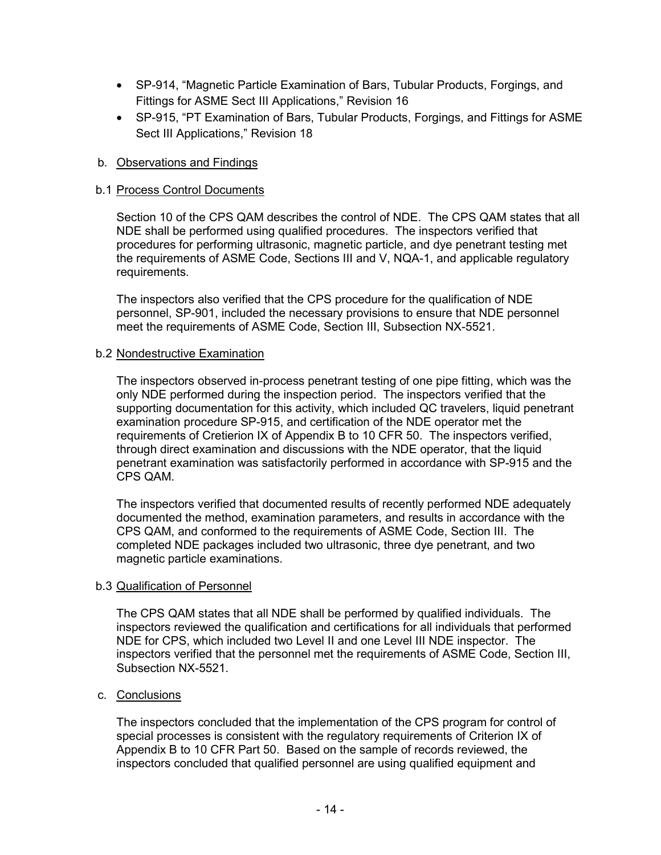- SP-914, "Magnetic Particle Examination of Bars, Tubular Products, Forgings, and Fittings for ASME Sect III Applications," Revision 16
- SP-915, "PT Examination of Bars, Tubular Products, Forgings, and Fittings for ASME Sect III Applications," Revision 18

### b.1 Process Control Documents

Section 10 of the CPS QAM describes the control of NDE. The CPS QAM states that all NDE shall be performed using qualified procedures. The inspectors verified that procedures for performing ultrasonic, magnetic particle, and dye penetrant testing met the requirements of ASME Code, Sections III and V, NQA-1, and applicable regulatory requirements.

The inspectors also verified that the CPS procedure for the qualification of NDE personnel, SP-901, included the necessary provisions to ensure that NDE personnel meet the requirements of ASME Code, Section III, Subsection NX-5521.

### b.2 Nondestructive Examination

The inspectors observed in-process penetrant testing of one pipe fitting, which was the only NDE performed during the inspection period. The inspectors verified that the supporting documentation for this activity, which included QC travelers, liquid penetrant examination procedure SP-915, and certification of the NDE operator met the requirements of Cretierion IX of Appendix B to 10 CFR 50. The inspectors verified, through direct examination and discussions with the NDE operator, that the liquid penetrant examination was satisfactorily performed in accordance with SP-915 and the CPS QAM.

The inspectors verified that documented results of recently performed NDE adequately documented the method, examination parameters, and results in accordance with the CPS QAM, and conformed to the requirements of ASME Code, Section III. The completed NDE packages included two ultrasonic, three dye penetrant, and two magnetic particle examinations.

### b.3 Qualification of Personnel

The CPS QAM states that all NDE shall be performed by qualified individuals. The inspectors reviewed the qualification and certifications for all individuals that performed NDE for CPS, which included two Level II and one Level III NDE inspector. The inspectors verified that the personnel met the requirements of ASME Code, Section III, Subsection NX-5521.

### c. Conclusions

The inspectors concluded that the implementation of the CPS program for control of special processes is consistent with the regulatory requirements of Criterion IX of Appendix B to 10 CFR Part 50. Based on the sample of records reviewed, the inspectors concluded that qualified personnel are using qualified equipment and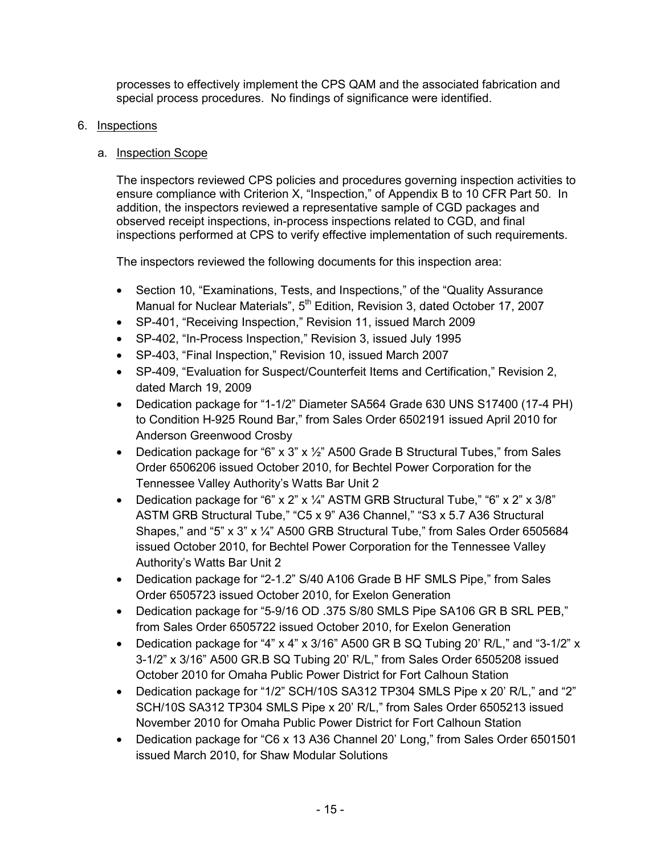processes to effectively implement the CPS QAM and the associated fabrication and special process procedures. No findings of significance were identified.

### 6. Inspections

# a. Inspection Scope

The inspectors reviewed CPS policies and procedures governing inspection activities to ensure compliance with Criterion X, "Inspection," of Appendix B to 10 CFR Part 50. In addition, the inspectors reviewed a representative sample of CGD packages and observed receipt inspections, in-process inspections related to CGD, and final inspections performed at CPS to verify effective implementation of such requirements.

The inspectors reviewed the following documents for this inspection area:

- Section 10, "Examinations, Tests, and Inspections," of the "Quality Assurance Manual for Nuclear Materials", 5<sup>th</sup> Edition, Revision 3, dated October 17, 2007
- SP-401, "Receiving Inspection," Revision 11, issued March 2009
- SP-402, "In-Process Inspection," Revision 3, issued July 1995
- SP-403, "Final Inspection," Revision 10, issued March 2007
- SP-409, "Evaluation for Suspect/Counterfeit Items and Certification," Revision 2, dated March 19, 2009
- Dedication package for "1-1/2" Diameter SA564 Grade 630 UNS S17400 (17-4 PH) to Condition H-925 Round Bar," from Sales Order 6502191 issued April 2010 for Anderson Greenwood Crosby
- Dedication package for "6" x 3" x  $\frac{1}{2}$ " A500 Grade B Structural Tubes," from Sales Order 6506206 issued October 2010, for Bechtel Power Corporation for the Tennessee Valley Authority's Watts Bar Unit 2
- Dedication package for "6" x 2" x 1/4" ASTM GRB Structural Tube," "6" x 2" x 3/8" ASTM GRB Structural Tube," "C5 x 9" A36 Channel," "S3 x 5.7 A36 Structural Shapes," and "5" x 3" x ¼" A500 GRB Structural Tube," from Sales Order 6505684 issued October 2010, for Bechtel Power Corporation for the Tennessee Valley Authority's Watts Bar Unit 2
- Dedication package for "2-1.2" S/40 A106 Grade B HF SMLS Pipe," from Sales Order 6505723 issued October 2010, for Exelon Generation
- Dedication package for "5-9/16 OD .375 S/80 SMLS Pipe SA106 GR B SRL PEB," from Sales Order 6505722 issued October 2010, for Exelon Generation
- Dedication package for "4"  $\times$  4"  $\times$  3/16" A500 GR B SQ Tubing 20' R/L," and "3-1/2"  $\times$ 3-1/2" x 3/16" A500 GR.B SQ Tubing 20' R/L," from Sales Order 6505208 issued October 2010 for Omaha Public Power District for Fort Calhoun Station
- Dedication package for "1/2" SCH/10S SA312 TP304 SMLS Pipe x 20' R/L," and "2" SCH/10S SA312 TP304 SMLS Pipe x 20' R/L," from Sales Order 6505213 issued November 2010 for Omaha Public Power District for Fort Calhoun Station
- Dedication package for "C6 x 13 A36 Channel 20' Long," from Sales Order 6501501 issued March 2010, for Shaw Modular Solutions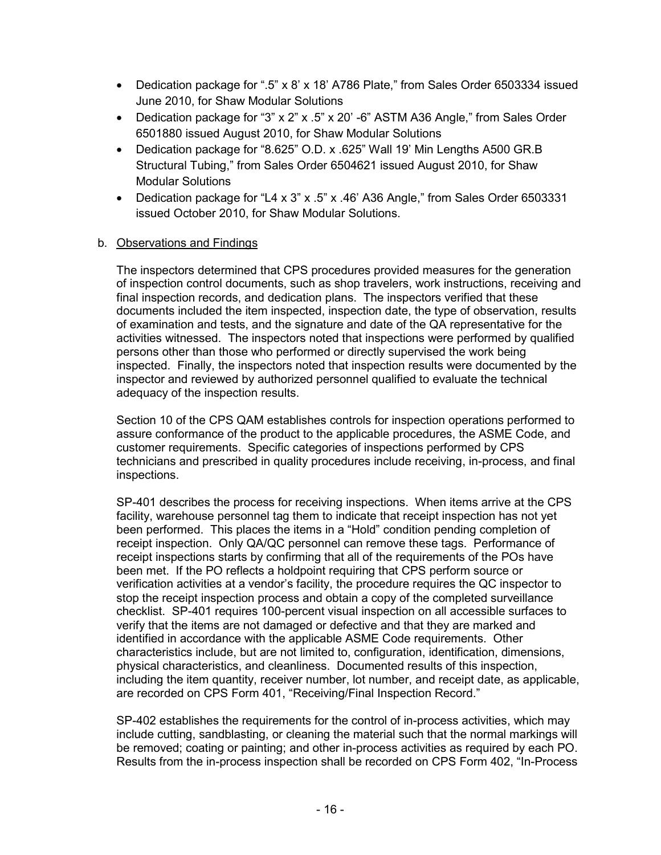- Dedication package for ".5" x 8' x 18' A786 Plate," from Sales Order 6503334 issued June 2010, for Shaw Modular Solutions
- Dedication package for "3" x 2" x .5" x 20' -6" ASTM A36 Angle," from Sales Order 6501880 issued August 2010, for Shaw Modular Solutions
- Dedication package for "8.625" O.D. x .625" Wall 19' Min Lengths A500 GR.B Structural Tubing," from Sales Order 6504621 issued August 2010, for Shaw Modular Solutions
- Dedication package for "L4 x 3" x .5" x .46' A36 Angle," from Sales Order 6503331 issued October 2010, for Shaw Modular Solutions.

The inspectors determined that CPS procedures provided measures for the generation of inspection control documents, such as shop travelers, work instructions, receiving and final inspection records, and dedication plans. The inspectors verified that these documents included the item inspected, inspection date, the type of observation, results of examination and tests, and the signature and date of the QA representative for the activities witnessed. The inspectors noted that inspections were performed by qualified persons other than those who performed or directly supervised the work being inspected. Finally, the inspectors noted that inspection results were documented by the inspector and reviewed by authorized personnel qualified to evaluate the technical adequacy of the inspection results.

Section 10 of the CPS QAM establishes controls for inspection operations performed to assure conformance of the product to the applicable procedures, the ASME Code, and customer requirements. Specific categories of inspections performed by CPS technicians and prescribed in quality procedures include receiving, in-process, and final inspections.

SP-401 describes the process for receiving inspections. When items arrive at the CPS facility, warehouse personnel tag them to indicate that receipt inspection has not yet been performed. This places the items in a "Hold" condition pending completion of receipt inspection. Only QA/QC personnel can remove these tags. Performance of receipt inspections starts by confirming that all of the requirements of the POs have been met. If the PO reflects a holdpoint requiring that CPS perform source or verification activities at a vendor's facility, the procedure requires the QC inspector to stop the receipt inspection process and obtain a copy of the completed surveillance checklist. SP-401 requires 100-percent visual inspection on all accessible surfaces to verify that the items are not damaged or defective and that they are marked and identified in accordance with the applicable ASME Code requirements. Other characteristics include, but are not limited to, configuration, identification, dimensions, physical characteristics, and cleanliness. Documented results of this inspection, including the item quantity, receiver number, lot number, and receipt date, as applicable, are recorded on CPS Form 401, "Receiving/Final Inspection Record."

SP-402 establishes the requirements for the control of in-process activities, which may include cutting, sandblasting, or cleaning the material such that the normal markings will be removed; coating or painting; and other in-process activities as required by each PO. Results from the in-process inspection shall be recorded on CPS Form 402, "In-Process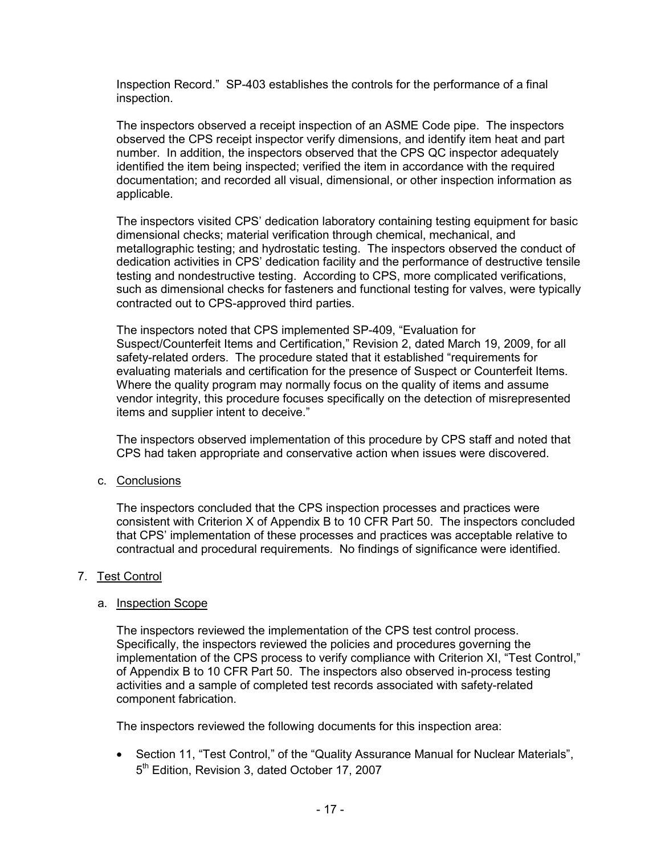Inspection Record." SP-403 establishes the controls for the performance of a final inspection.

The inspectors observed a receipt inspection of an ASME Code pipe. The inspectors observed the CPS receipt inspector verify dimensions, and identify item heat and part number. In addition, the inspectors observed that the CPS QC inspector adequately identified the item being inspected; verified the item in accordance with the required documentation; and recorded all visual, dimensional, or other inspection information as applicable.

The inspectors visited CPS' dedication laboratory containing testing equipment for basic dimensional checks; material verification through chemical, mechanical, and metallographic testing; and hydrostatic testing. The inspectors observed the conduct of dedication activities in CPS' dedication facility and the performance of destructive tensile testing and nondestructive testing. According to CPS, more complicated verifications, such as dimensional checks for fasteners and functional testing for valves, were typically contracted out to CPS-approved third parties.

The inspectors noted that CPS implemented SP-409, "Evaluation for Suspect/Counterfeit Items and Certification," Revision 2, dated March 19, 2009, for all safety-related orders. The procedure stated that it established "requirements for evaluating materials and certification for the presence of Suspect or Counterfeit Items. Where the quality program may normally focus on the quality of items and assume vendor integrity, this procedure focuses specifically on the detection of misrepresented items and supplier intent to deceive."

The inspectors observed implementation of this procedure by CPS staff and noted that CPS had taken appropriate and conservative action when issues were discovered.

c. Conclusions

The inspectors concluded that the CPS inspection processes and practices were consistent with Criterion X of Appendix B to 10 CFR Part 50. The inspectors concluded that CPS' implementation of these processes and practices was acceptable relative to contractual and procedural requirements. No findings of significance were identified.

### 7. Test Control

#### a. Inspection Scope

The inspectors reviewed the implementation of the CPS test control process. Specifically, the inspectors reviewed the policies and procedures governing the implementation of the CPS process to verify compliance with Criterion XI, "Test Control," of Appendix B to 10 CFR Part 50. The inspectors also observed in-process testing activities and a sample of completed test records associated with safety-related component fabrication.

The inspectors reviewed the following documents for this inspection area:

• Section 11, "Test Control," of the "Quality Assurance Manual for Nuclear Materials", 5<sup>th</sup> Edition, Revision 3, dated October 17, 2007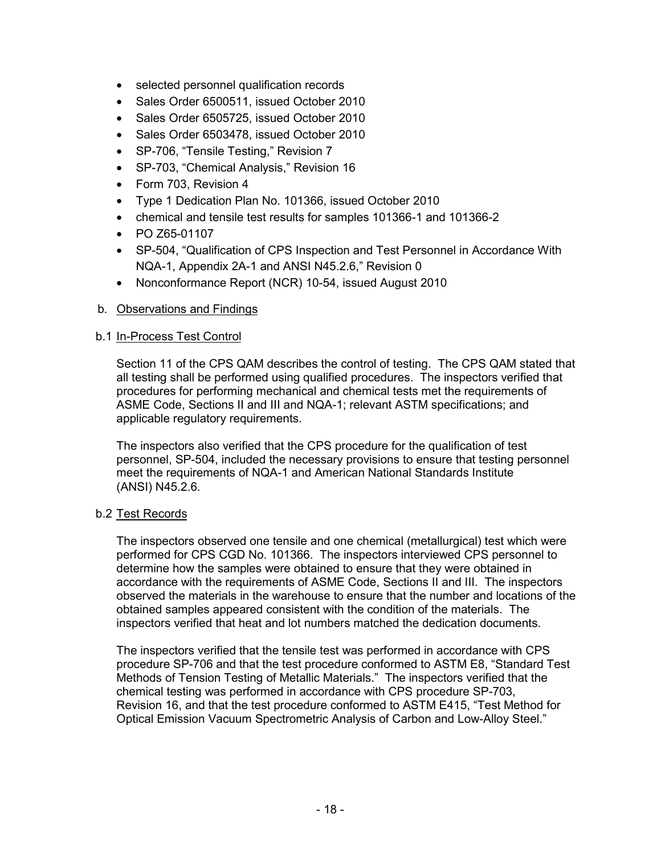- selected personnel qualification records
- Sales Order 6500511, issued October 2010
- Sales Order 6505725, issued October 2010
- Sales Order 6503478, issued October 2010
- SP-706, "Tensile Testing," Revision 7
- SP-703, "Chemical Analysis," Revision 16
- Form 703, Revision 4
- Type 1 Dedication Plan No. 101366, issued October 2010
- chemical and tensile test results for samples 101366-1 and 101366-2
- PO Z65-01107
- SP-504, "Qualification of CPS Inspection and Test Personnel in Accordance With NQA-1, Appendix 2A-1 and ANSI N45.2.6," Revision 0
- Nonconformance Report (NCR) 10-54, issued August 2010

#### b.1 In-Process Test Control

Section 11 of the CPS QAM describes the control of testing. The CPS QAM stated that all testing shall be performed using qualified procedures. The inspectors verified that procedures for performing mechanical and chemical tests met the requirements of ASME Code, Sections II and III and NQA-1; relevant ASTM specifications; and applicable regulatory requirements.

The inspectors also verified that the CPS procedure for the qualification of test personnel, SP-504, included the necessary provisions to ensure that testing personnel meet the requirements of NQA-1 and American National Standards Institute (ANSI) N45.2.6.

#### b.2 Test Records

The inspectors observed one tensile and one chemical (metallurgical) test which were performed for CPS CGD No. 101366. The inspectors interviewed CPS personnel to determine how the samples were obtained to ensure that they were obtained in accordance with the requirements of ASME Code, Sections II and III. The inspectors observed the materials in the warehouse to ensure that the number and locations of the obtained samples appeared consistent with the condition of the materials. The inspectors verified that heat and lot numbers matched the dedication documents.

The inspectors verified that the tensile test was performed in accordance with CPS procedure SP-706 and that the test procedure conformed to ASTM E8, "Standard Test Methods of Tension Testing of Metallic Materials." The inspectors verified that the chemical testing was performed in accordance with CPS procedure SP-703, Revision 16, and that the test procedure conformed to ASTM E415, "Test Method for Optical Emission Vacuum Spectrometric Analysis of Carbon and Low-Alloy Steel."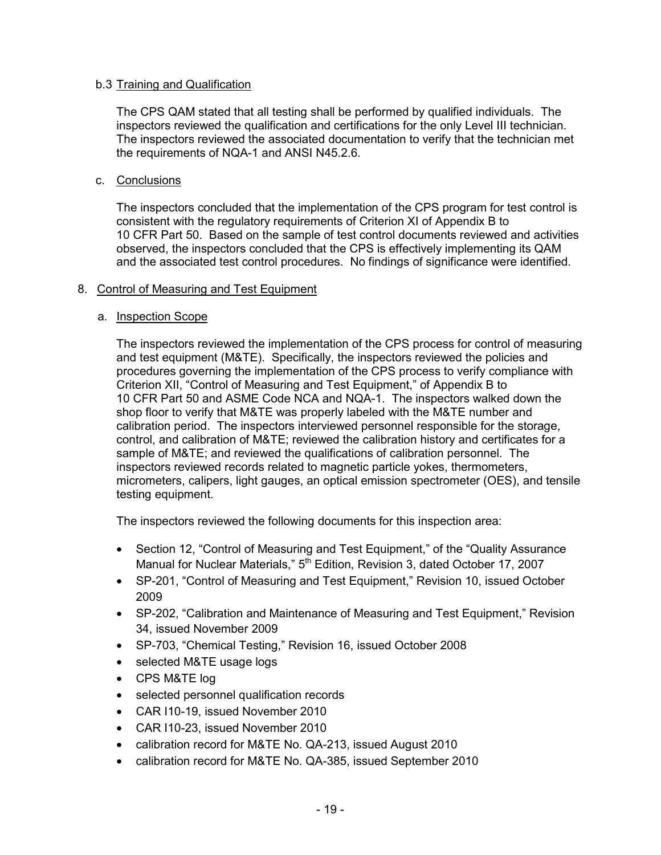### b.3 Training and Qualification

The CPS QAM stated that all testing shall be performed by qualified individuals. The inspectors reviewed the qualification and certifications for the only Level III technician. The inspectors reviewed the associated documentation to verify that the technician met the requirements of NQA-1 and ANSI N45.2.6.

### c. Conclusions

The inspectors concluded that the implementation of the CPS program for test control is consistent with the regulatory requirements of Criterion XI of Appendix B to 10 CFR Part 50. Based on the sample of test control documents reviewed and activities observed, the inspectors concluded that the CPS is effectively implementing its QAM and the associated test control procedures. No findings of significance were identified.

# 8. Control of Measuring and Test Equipment

# a. Inspection Scope

The inspectors reviewed the implementation of the CPS process for control of measuring and test equipment (M&TE). Specifically, the inspectors reviewed the policies and procedures governing the implementation of the CPS process to verify compliance with Criterion XII, "Control of Measuring and Test Equipment," of Appendix B to 10 CFR Part 50 and ASME Code NCA and NQA-1. The inspectors walked down the shop floor to verify that M&TE was properly labeled with the M&TE number and calibration period. The inspectors interviewed personnel responsible for the storage, control, and calibration of M&TE; reviewed the calibration history and certificates for a sample of M&TE; and reviewed the qualifications of calibration personnel. The inspectors reviewed records related to magnetic particle yokes, thermometers, micrometers, calipers, light gauges, an optical emission spectrometer (OES), and tensile testing equipment.

The inspectors reviewed the following documents for this inspection area:

- Section 12, "Control of Measuring and Test Equipment," of the "Quality Assurance Manual for Nuclear Materials," 5<sup>th</sup> Edition, Revision 3, dated October 17, 2007
- SP-201, "Control of Measuring and Test Equipment," Revision 10, issued October 2009
- SP-202, "Calibration and Maintenance of Measuring and Test Equipment," Revision 34, issued November 2009
- SP-703, "Chemical Testing," Revision 16, issued October 2008
- selected M&TE usage logs
- CPS M&TE log
- selected personnel qualification records
- CAR I10-19, issued November 2010
- CAR I10-23, issued November 2010
- calibration record for M&TE No. QA-213, issued August 2010
- calibration record for M&TE No. QA-385, issued September 2010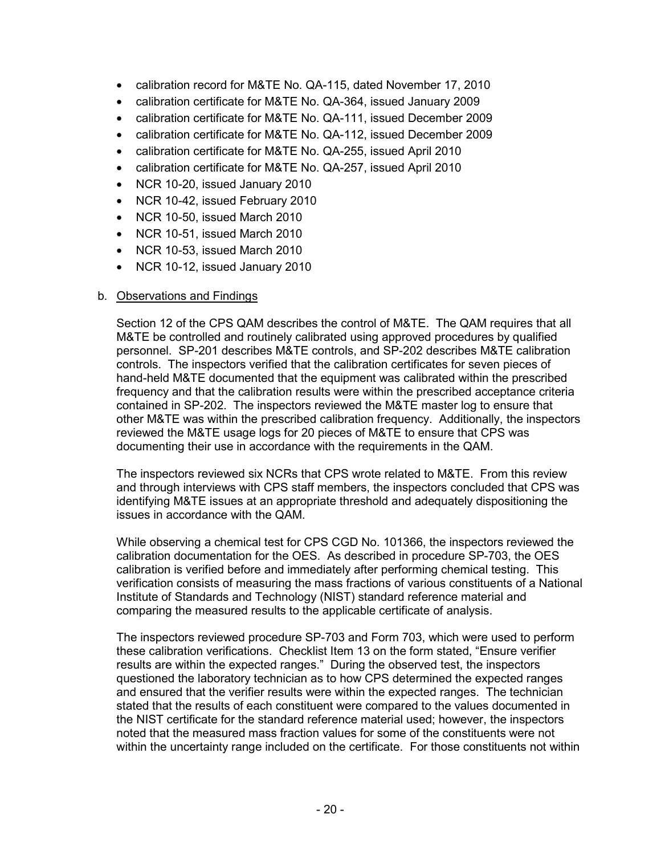- calibration record for M&TE No. QA-115, dated November 17, 2010
- calibration certificate for M&TE No. QA-364, issued January 2009
- calibration certificate for M&TE No. QA-111, issued December 2009
- calibration certificate for M&TE No. QA-112, issued December 2009
- calibration certificate for M&TE No. QA-255, issued April 2010
- calibration certificate for M&TE No. QA-257, issued April 2010
- NCR 10-20, issued January 2010
- NCR 10-42, issued February 2010
- NCR 10-50, issued March 2010
- NCR 10-51, issued March 2010
- NCR 10-53, issued March 2010
- NCR 10-12, issued January 2010

Section 12 of the CPS QAM describes the control of M&TE. The QAM requires that all M&TE be controlled and routinely calibrated using approved procedures by qualified personnel. SP-201 describes M&TE controls, and SP-202 describes M&TE calibration controls. The inspectors verified that the calibration certificates for seven pieces of hand-held M&TE documented that the equipment was calibrated within the prescribed frequency and that the calibration results were within the prescribed acceptance criteria contained in SP-202. The inspectors reviewed the M&TE master log to ensure that other M&TE was within the prescribed calibration frequency. Additionally, the inspectors reviewed the M&TE usage logs for 20 pieces of M&TE to ensure that CPS was documenting their use in accordance with the requirements in the QAM.

The inspectors reviewed six NCRs that CPS wrote related to M&TE. From this review and through interviews with CPS staff members, the inspectors concluded that CPS was identifying M&TE issues at an appropriate threshold and adequately dispositioning the issues in accordance with the QAM.

While observing a chemical test for CPS CGD No. 101366, the inspectors reviewed the calibration documentation for the OES. As described in procedure SP-703, the OES calibration is verified before and immediately after performing chemical testing. This verification consists of measuring the mass fractions of various constituents of a National Institute of Standards and Technology (NIST) standard reference material and comparing the measured results to the applicable certificate of analysis.

The inspectors reviewed procedure SP-703 and Form 703, which were used to perform these calibration verifications. Checklist Item 13 on the form stated, "Ensure verifier results are within the expected ranges." During the observed test, the inspectors questioned the laboratory technician as to how CPS determined the expected ranges and ensured that the verifier results were within the expected ranges. The technician stated that the results of each constituent were compared to the values documented in the NIST certificate for the standard reference material used; however, the inspectors noted that the measured mass fraction values for some of the constituents were not within the uncertainty range included on the certificate. For those constituents not within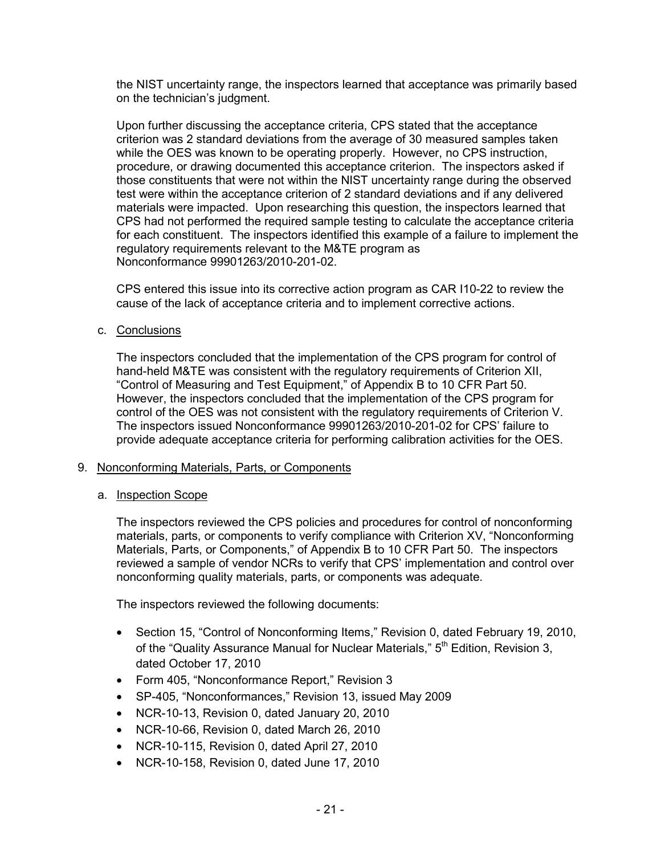the NIST uncertainty range, the inspectors learned that acceptance was primarily based on the technician's judgment.

Upon further discussing the acceptance criteria, CPS stated that the acceptance criterion was 2 standard deviations from the average of 30 measured samples taken while the OES was known to be operating properly. However, no CPS instruction, procedure, or drawing documented this acceptance criterion. The inspectors asked if those constituents that were not within the NIST uncertainty range during the observed test were within the acceptance criterion of 2 standard deviations and if any delivered materials were impacted. Upon researching this question, the inspectors learned that CPS had not performed the required sample testing to calculate the acceptance criteria for each constituent. The inspectors identified this example of a failure to implement the regulatory requirements relevant to the M&TE program as Nonconformance 99901263/2010-201-02.

CPS entered this issue into its corrective action program as CAR I10-22 to review the cause of the lack of acceptance criteria and to implement corrective actions.

c. Conclusions

The inspectors concluded that the implementation of the CPS program for control of hand-held M&TE was consistent with the regulatory requirements of Criterion XII, "Control of Measuring and Test Equipment," of Appendix B to 10 CFR Part 50. However, the inspectors concluded that the implementation of the CPS program for control of the OES was not consistent with the regulatory requirements of Criterion V. The inspectors issued Nonconformance 99901263/2010-201-02 for CPS' failure to provide adequate acceptance criteria for performing calibration activities for the OES.

#### 9. Nonconforming Materials, Parts, or Components

a. Inspection Scope

The inspectors reviewed the CPS policies and procedures for control of nonconforming materials, parts, or components to verify compliance with Criterion XV, "Nonconforming Materials, Parts, or Components," of Appendix B to 10 CFR Part 50. The inspectors reviewed a sample of vendor NCRs to verify that CPS' implementation and control over nonconforming quality materials, parts, or components was adequate.

The inspectors reviewed the following documents:

- Section 15, "Control of Nonconforming Items," Revision 0, dated February 19, 2010, of the "Quality Assurance Manual for Nuclear Materials," 5<sup>th</sup> Edition, Revision 3, dated October 17, 2010
- Form 405, "Nonconformance Report," Revision 3
- SP-405, "Nonconformances," Revision 13, issued May 2009
- NCR-10-13, Revision 0, dated January 20, 2010
- NCR-10-66, Revision 0, dated March 26, 2010
- NCR-10-115, Revision 0, dated April 27, 2010
- NCR-10-158, Revision 0, dated June 17, 2010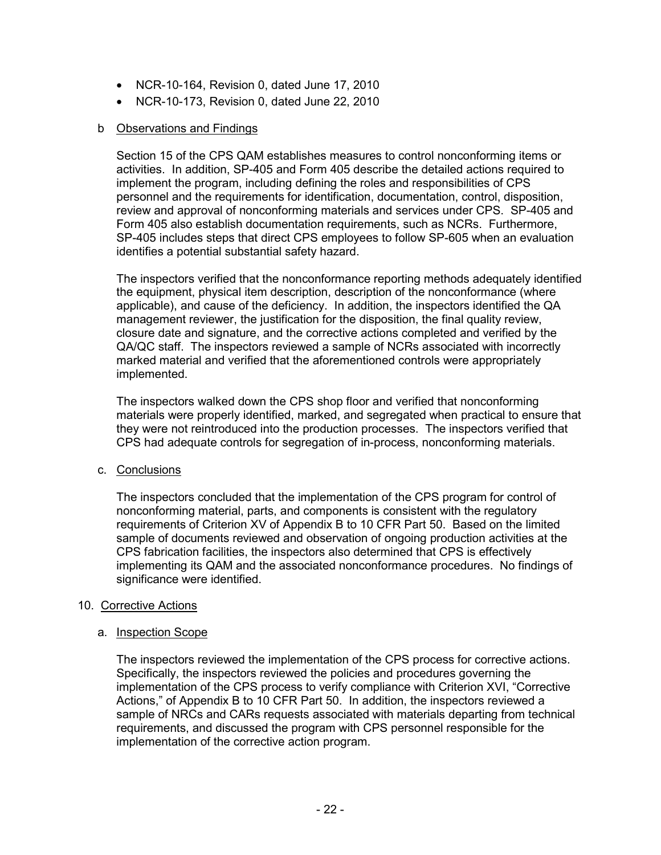- NCR-10-164, Revision 0, dated June 17, 2010
- NCR-10-173, Revision 0, dated June 22, 2010

Section 15 of the CPS QAM establishes measures to control nonconforming items or activities. In addition, SP-405 and Form 405 describe the detailed actions required to implement the program, including defining the roles and responsibilities of CPS personnel and the requirements for identification, documentation, control, disposition, review and approval of nonconforming materials and services under CPS. SP-405 and Form 405 also establish documentation requirements, such as NCRs. Furthermore, SP-405 includes steps that direct CPS employees to follow SP-605 when an evaluation identifies a potential substantial safety hazard.

The inspectors verified that the nonconformance reporting methods adequately identified the equipment, physical item description, description of the nonconformance (where applicable), and cause of the deficiency. In addition, the inspectors identified the QA management reviewer, the justification for the disposition, the final quality review, closure date and signature, and the corrective actions completed and verified by the QA/QC staff. The inspectors reviewed a sample of NCRs associated with incorrectly marked material and verified that the aforementioned controls were appropriately implemented.

The inspectors walked down the CPS shop floor and verified that nonconforming materials were properly identified, marked, and segregated when practical to ensure that they were not reintroduced into the production processes. The inspectors verified that CPS had adequate controls for segregation of in-process, nonconforming materials.

### c. Conclusions

The inspectors concluded that the implementation of the CPS program for control of nonconforming material, parts, and components is consistent with the regulatory requirements of Criterion XV of Appendix B to 10 CFR Part 50. Based on the limited sample of documents reviewed and observation of ongoing production activities at the CPS fabrication facilities, the inspectors also determined that CPS is effectively implementing its QAM and the associated nonconformance procedures. No findings of significance were identified.

### 10. Corrective Actions

### a. Inspection Scope

The inspectors reviewed the implementation of the CPS process for corrective actions. Specifically, the inspectors reviewed the policies and procedures governing the implementation of the CPS process to verify compliance with Criterion XVI, "Corrective Actions," of Appendix B to 10 CFR Part 50. In addition, the inspectors reviewed a sample of NRCs and CARs requests associated with materials departing from technical requirements, and discussed the program with CPS personnel responsible for the implementation of the corrective action program.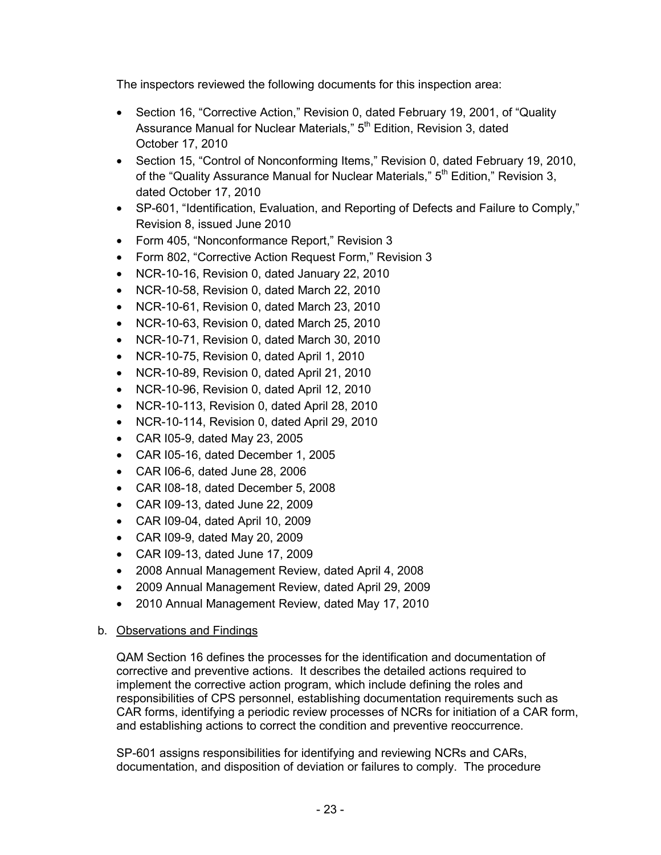The inspectors reviewed the following documents for this inspection area:

- Section 16, "Corrective Action," Revision 0, dated February 19, 2001, of "Quality Assurance Manual for Nuclear Materials," 5<sup>th</sup> Edition, Revision 3, dated October 17, 2010
- Section 15, "Control of Nonconforming Items," Revision 0, dated February 19, 2010, of the "Quality Assurance Manual for Nuclear Materials," 5<sup>th</sup> Edition," Revision 3, dated October 17, 2010
- SP-601, "Identification, Evaluation, and Reporting of Defects and Failure to Comply," Revision 8, issued June 2010
- Form 405, "Nonconformance Report," Revision 3
- Form 802, "Corrective Action Request Form," Revision 3
- NCR-10-16, Revision 0, dated January 22, 2010
- NCR-10-58, Revision 0, dated March 22, 2010
- NCR-10-61, Revision 0, dated March 23, 2010
- NCR-10-63, Revision 0, dated March 25, 2010
- NCR-10-71, Revision 0, dated March 30, 2010
- NCR-10-75, Revision 0, dated April 1, 2010
- NCR-10-89, Revision 0, dated April 21, 2010
- NCR-10-96, Revision 0, dated April 12, 2010
- NCR-10-113, Revision 0, dated April 28, 2010
- NCR-10-114, Revision 0, dated April 29, 2010
- CAR I05-9, dated May 23, 2005
- CAR I05-16, dated December 1, 2005
- CAR I06-6, dated June 28, 2006
- CAR I08-18, dated December 5, 2008
- CAR I09-13, dated June 22, 2009
- CAR I09-04, dated April 10, 2009
- CAR I09-9, dated May 20, 2009
- CAR I09-13, dated June 17, 2009
- 2008 Annual Management Review, dated April 4, 2008
- 2009 Annual Management Review, dated April 29, 2009
- 2010 Annual Management Review, dated May 17, 2010

# b. Observations and Findings

QAM Section 16 defines the processes for the identification and documentation of corrective and preventive actions. It describes the detailed actions required to implement the corrective action program, which include defining the roles and responsibilities of CPS personnel, establishing documentation requirements such as CAR forms, identifying a periodic review processes of NCRs for initiation of a CAR form, and establishing actions to correct the condition and preventive reoccurrence.

SP-601 assigns responsibilities for identifying and reviewing NCRs and CARs, documentation, and disposition of deviation or failures to comply. The procedure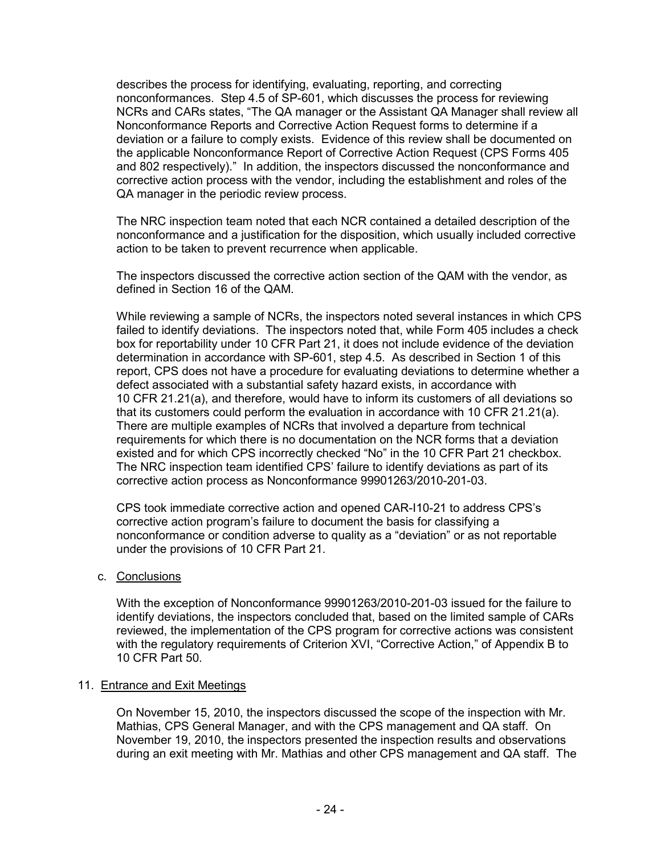describes the process for identifying, evaluating, reporting, and correcting nonconformances. Step 4.5 of SP-601, which discusses the process for reviewing NCRs and CARs states, "The QA manager or the Assistant QA Manager shall review all Nonconformance Reports and Corrective Action Request forms to determine if a deviation or a failure to comply exists. Evidence of this review shall be documented on the applicable Nonconformance Report of Corrective Action Request (CPS Forms 405 and 802 respectively)." In addition, the inspectors discussed the nonconformance and corrective action process with the vendor, including the establishment and roles of the QA manager in the periodic review process.

The NRC inspection team noted that each NCR contained a detailed description of the nonconformance and a justification for the disposition, which usually included corrective action to be taken to prevent recurrence when applicable.

The inspectors discussed the corrective action section of the QAM with the vendor, as defined in Section 16 of the QAM.

While reviewing a sample of NCRs, the inspectors noted several instances in which CPS failed to identify deviations. The inspectors noted that, while Form 405 includes a check box for reportability under 10 CFR Part 21, it does not include evidence of the deviation determination in accordance with SP-601, step 4.5. As described in Section 1 of this report, CPS does not have a procedure for evaluating deviations to determine whether a defect associated with a substantial safety hazard exists, in accordance with 10 CFR 21.21(a), and therefore, would have to inform its customers of all deviations so that its customers could perform the evaluation in accordance with 10 CFR 21.21(a). There are multiple examples of NCRs that involved a departure from technical requirements for which there is no documentation on the NCR forms that a deviation existed and for which CPS incorrectly checked "No" in the 10 CFR Part 21 checkbox. The NRC inspection team identified CPS' failure to identify deviations as part of its corrective action process as Nonconformance 99901263/2010-201-03.

CPS took immediate corrective action and opened CAR-I10-21 to address CPS's corrective action program's failure to document the basis for classifying a nonconformance or condition adverse to quality as a "deviation" or as not reportable under the provisions of 10 CFR Part 21.

c. Conclusions

With the exception of Nonconformance 99901263/2010-201-03 issued for the failure to identify deviations, the inspectors concluded that, based on the limited sample of CARs reviewed, the implementation of the CPS program for corrective actions was consistent with the regulatory requirements of Criterion XVI, "Corrective Action," of Appendix B to 10 CFR Part 50.

#### 11. Entrance and Exit Meetings

On November 15, 2010, the inspectors discussed the scope of the inspection with Mr. Mathias, CPS General Manager, and with the CPS management and QA staff. On November 19, 2010, the inspectors presented the inspection results and observations during an exit meeting with Mr. Mathias and other CPS management and QA staff. The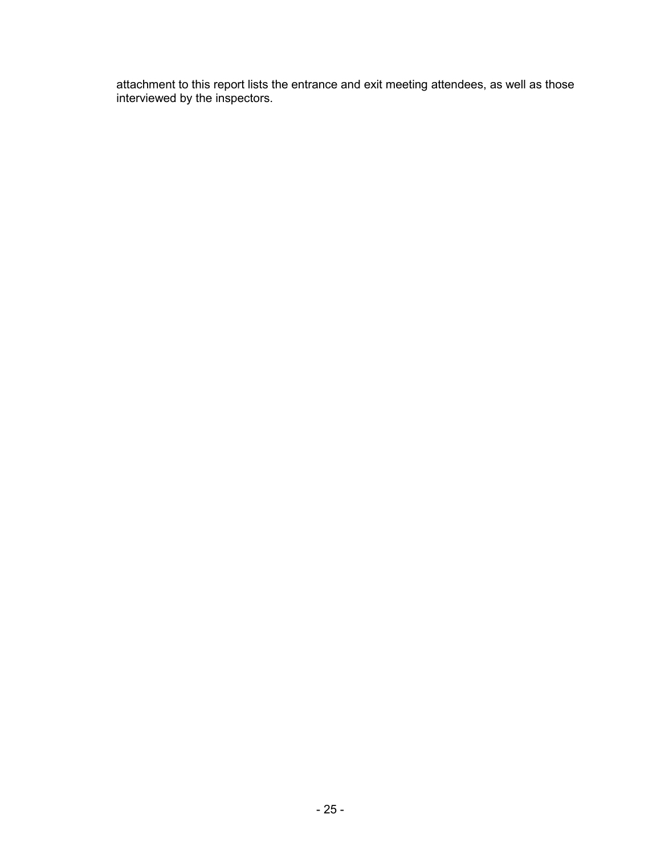attachment to this report lists the entrance and exit meeting attendees, as well as those interviewed by the inspectors.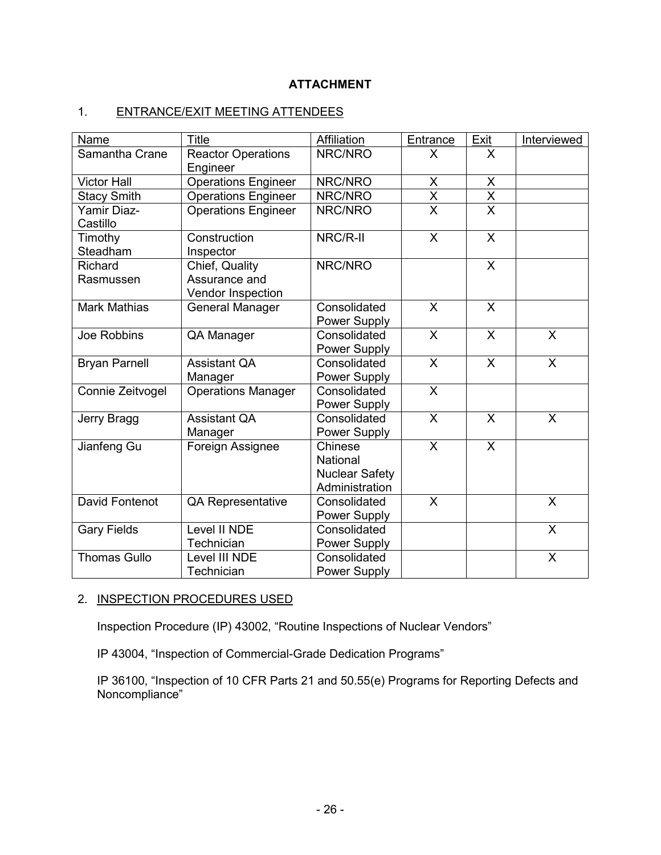# **ATTACHMENT**

# 1. ENTRANCE/EXIT MEETING ATTENDEES

| Name                    | <b>Title</b>                                         | Affiliation                                                    | Entrance                  | Exit                    | Interviewed  |
|-------------------------|------------------------------------------------------|----------------------------------------------------------------|---------------------------|-------------------------|--------------|
| Samantha Crane          | <b>Reactor Operations</b><br>Engineer                | NRC/NRO                                                        | X                         | X                       |              |
| <b>Victor Hall</b>      | <b>Operations Engineer</b>                           | NRC/NRO                                                        | X                         | $\pmb{\times}$          |              |
| <b>Stacy Smith</b>      | <b>Operations Engineer</b>                           | NRC/NRO                                                        | $\overline{\mathsf{x}}$   | $\overline{\mathsf{x}}$ |              |
| Yamir Diaz-<br>Castillo | Operations Engineer                                  | NRC/NRO                                                        | $\overline{\overline{x}}$ | $\overline{\mathsf{x}}$ |              |
| Timothy<br>Steadham     | Construction<br>Inspector                            | NRC/R-II                                                       | $\mathsf{X}$              | $\sf X$                 |              |
| Richard<br>Rasmussen    | Chief, Quality<br>Assurance and<br>Vendor Inspection | NRC/NRO                                                        |                           | $\sf X$                 |              |
| <b>Mark Mathias</b>     | <b>General Manager</b>                               | Consolidated<br>Power Supply                                   | $\overline{X}$            | $\overline{\mathsf{x}}$ |              |
| Joe Robbins             | QA Manager                                           | Consolidated<br>Power Supply                                   | $\overline{X}$            | $\overline{\mathsf{x}}$ | $\mathsf{X}$ |
| <b>Bryan Parnell</b>    | <b>Assistant QA</b><br>Manager                       | Consolidated<br>Power Supply                                   | $\mathsf{X}$              | $\overline{\mathsf{x}}$ | $\mathsf{X}$ |
| Connie Zeitvogel        | <b>Operations Manager</b>                            | Consolidated<br>Power Supply                                   | $\overline{\mathsf{x}}$   |                         |              |
| Jerry Bragg             | <b>Assistant QA</b><br>Manager                       | Consolidated<br>Power Supply                                   | $\mathsf{X}$              | $\times$                | $\mathsf{X}$ |
| Jianfeng Gu             | Foreign Assignee                                     | Chinese<br>National<br><b>Nuclear Safety</b><br>Administration | $\overline{\mathsf{x}}$   | $\overline{\mathsf{x}}$ |              |
| David Fontenot          | <b>QA Representative</b>                             | Consolidated<br>Power Supply                                   | $\mathsf{X}$              |                         | $\mathsf{X}$ |
| <b>Gary Fields</b>      | Level II NDE<br>Technician                           | Consolidated<br>Power Supply                                   |                           |                         | $\mathsf{X}$ |
| <b>Thomas Gullo</b>     | Level III NDE<br>Technician                          | Consolidated<br>Power Supply                                   |                           |                         | X            |

# 2. INSPECTION PROCEDURES USED

Inspection Procedure (IP) 43002, "Routine Inspections of Nuclear Vendors"

IP 43004, "Inspection of Commercial-Grade Dedication Programs"

IP 36100, "Inspection of 10 CFR Parts 21 and 50.55(e) Programs for Reporting Defects and Noncompliance"